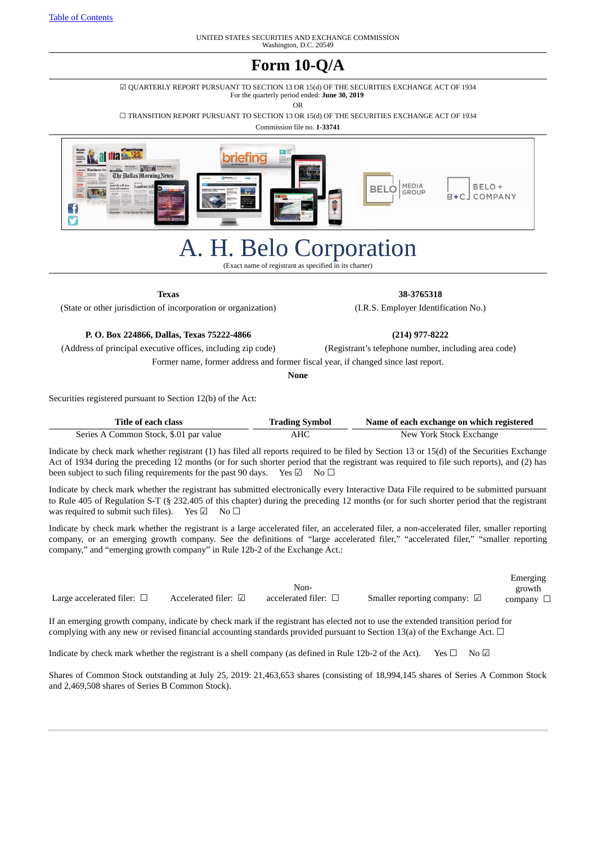# **Form 10-Q/A**

☑ QUARTERLY REPORT PURSUANT TO SECTION 13 OR 15(d) OF THE SECURITIES EXCHANGE ACT OF 1934 For the quarterly period ended: **June 30, 2019**

OR

☐ TRANSITION REPORT PURSUANT TO SECTION 13 OR 15(d) OF THE SECURITIES EXCHANGE ACT OF 1934

Commission file no. **1-33741**



# A. H. Belo Corporation

(Exact name of registrant as specified in its charter)

**Texas 38-3765318**

#### (State or other jurisdiction of incorporation or organization) (I.R.S. Employer Identification No.)

#### **P. O. Box 224866, Dallas, Texas 75222-4866 (214) 977-8222**

(Address of principal executive offices, including zip code) (Registrant's telephone number, including area code)

Former name, former address and former fiscal year, if changed since last report.

**None**

Securities registered pursuant to Section 12(b) of the Act:

| Title of each class                    | <b>Trading Symbol</b> | Name of each exchange on which registered |
|----------------------------------------|-----------------------|-------------------------------------------|
| Series A Common Stock, \$.01 par value | AHC                   | New York Stock Exchange                   |

Indicate by check mark whether registrant (1) has filed all reports required to be filed by Section 13 or 15(d) of the Securities Exchange Act of 1934 during the preceding 12 months (or for such shorter period that the registrant was required to file such reports), and (2) has been subject to such filing requirements for the past 90 days. Yes  $\boxtimes$  No  $\Box$ 

Indicate by check mark whether the registrant has submitted electronically every Interactive Data File required to be submitted pursuant to Rule 405 of Regulation S-T (§ 232.405 of this chapter) during the preceding 12 months (or for such shorter period that the registrant was required to submit such files). Yes  $\boxdot$  No  $\Box$ 

Indicate by check mark whether the registrant is a large accelerated filer, an accelerated filer, a non-accelerated filer, smaller reporting company, or an emerging growth company. See the definitions of "large accelerated filer," "accelerated filer," "smaller reporting company," and "emerging growth company" in Rule 12b-2 of the Exchange Act.:

|                                    |                                |                           |                                        | Emerging          |
|------------------------------------|--------------------------------|---------------------------|----------------------------------------|-------------------|
|                                    |                                | Non-                      |                                        | growth            |
| Large accelerated filer: $\square$ | Accelerated filer: $\boxtimes$ | accelerated filer: $\Box$ | Smaller reporting company: $\boxtimes$ | company $\square$ |

If an emerging growth company, indicate by check mark if the registrant has elected not to use the extended transition period for complying with any new or revised financial accounting standards provided pursuant to Section 13(a) of the Exchange Act.  $\Box$ 

Indicate by check mark whether the registrant is a shell company (as defined in Rule 12b-2 of the Act). Yes  $\Box$  No  $\Box$ 

Shares of Common Stock outstanding at July 25, 2019: 21,463,653 shares (consisting of 18,994,145 shares of Series A Common Stock and 2,469,508 shares of Series B Common Stock).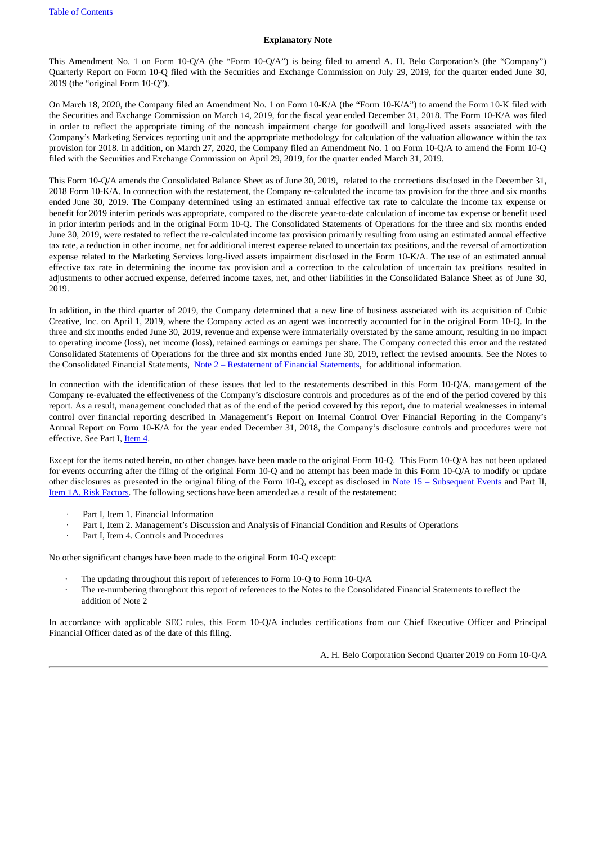#### **Explanatory Note**

This Amendment No. 1 on Form 10-Q/A (the "Form 10-Q/A") is being filed to amend A. H. Belo Corporation's (the "Company") Quarterly Report on Form 10-Q filed with the Securities and Exchange Commission on July 29, 2019, for the quarter ended June 30, 2019 (the "original Form 10-Q").

On March 18, 2020, the Company filed an Amendment No. 1 on Form 10-K/A (the "Form 10-K/A") to amend the Form 10-K filed with the Securities and Exchange Commission on March 14, 2019, for the fiscal year ended December 31, 2018. The Form 10-K/A was filed in order to reflect the appropriate timing of the noncash impairment charge for goodwill and long-lived assets associated with the Company's Marketing Services reporting unit and the appropriate methodology for calculation of the valuation allowance within the tax provision for 2018. In addition, on March 27, 2020, the Company filed an Amendment No. 1 on Form 10-Q/A to amend the Form 10-Q filed with the Securities and Exchange Commission on April 29, 2019, for the quarter ended March 31, 2019.

This Form 10-Q/A amends the Consolidated Balance Sheet as of June 30, 2019, related to the corrections disclosed in the December 31, 2018 Form 10-K/A. In connection with the restatement, the Company re-calculated the income tax provision for the three and six months ended June 30, 2019. The Company determined using an estimated annual effective tax rate to calculate the income tax expense or benefit for 2019 interim periods was appropriate, compared to the discrete year-to-date calculation of income tax expense or benefit used in prior interim periods and in the original Form 10-Q. The Consolidated Statements of Operations for the three and six months ended June 30, 2019, were restated to reflect the re-calculated income tax provision primarily resulting from using an estimated annual effective tax rate, a reduction in other income, net for additional interest expense related to uncertain tax positions, and the reversal of amortization expense related to the Marketing Services long-lived assets impairment disclosed in the Form 10-K/A. The use of an estimated annual effective tax rate in determining the income tax provision and a correction to the calculation of uncertain tax positions resulted in adjustments to other accrued expense, deferred income taxes, net, and other liabilities in the Consolidated Balance Sheet as of June 30, 2019.

In addition, in the third quarter of 2019, the Company determined that a new line of business associated with its acquisition of Cubic Creative, Inc. on April 1, 2019, where the Company acted as an agent was incorrectly accounted for in the original Form 10-Q. In the three and six months ended June 30, 2019, revenue and expense were immaterially overstated by the same amount, resulting in no impact to operating income (loss), net income (loss), retained earnings or earnings per share. The Company corrected this error and the restated Consolidated Statements of Operations for the three and six months ended June 30, 2019, reflect the revised amounts. See the Notes to the Consolidated Financial Statements, Note 2 – [Restatement](#page-9-0) of Financial Statements, for additional information.

In connection with the identification of these issues that led to the restatements described in this Form 10-Q/A, management of the Company re-evaluated the effectiveness of the Company's disclosure controls and procedures as of the end of the period covered by this report. As a result, management concluded that as of the end of the period covered by this report, due to material weaknesses in internal control over financial reporting described in Management's Report on Internal Control Over Financial Reporting in the Company's Annual Report on Form 10-K/A for the year ended December 31, 2018, the Company's disclosure controls and procedures were not effective. See Part I, [Item](#page-28-0) 4.

Except for the items noted herein, no other changes have been made to the original Form 10-Q. This Form 10-Q/A has not been updated for events occurring after the filing of the original Form 10-Q and no attempt has been made in this Form 10-Q/A to modify or update other disclosures as presented in the original filing of the Form 10-Q, except as disclosed in Note 15 – [Subsequent](#page-19-0) Events and Part II, Item 1A. Risk [Factors](#page-30-0). The following sections have been amended as a result of the restatement:

- · Part I, Item 1. Financial Information
- Part I, Item 2. Management's Discussion and Analysis of Financial Condition and Results of Operations
- Part I, Item 4. Controls and Procedures

No other significant changes have been made to the original Form 10-Q except:

- The updating throughout this report of references to Form 10-Q to Form 10-Q/A
- The re-numbering throughout this report of references to the Notes to the Consolidated Financial Statements to reflect the addition of Note 2

In accordance with applicable SEC rules, this Form 10-Q/A includes certifications from our Chief Executive Officer and Principal Financial Officer dated as of the date of this filing.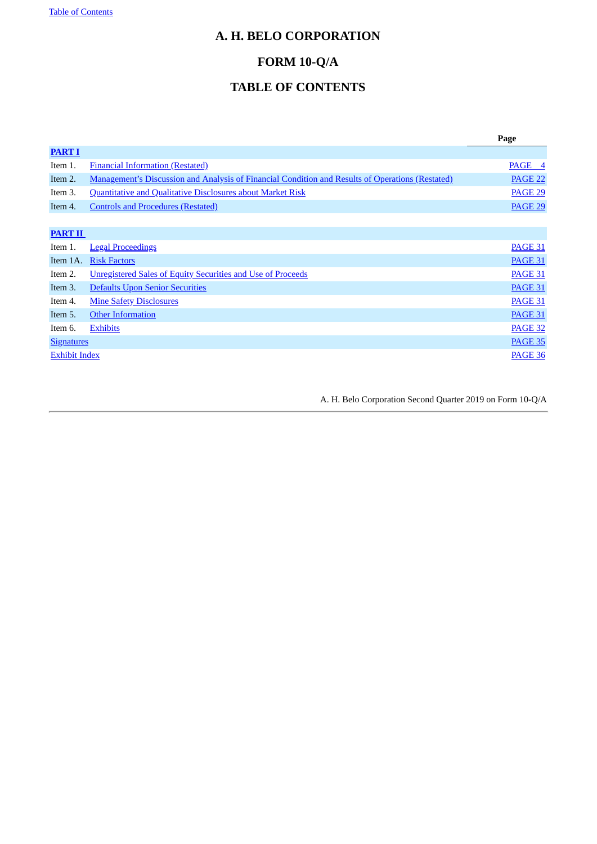# <span id="page-2-0"></span>**A. H. BELO CORPORATION**

# **FORM 10-Q/A**

# **TABLE OF CONTENTS**

|                      |                                                                                                  | Page           |
|----------------------|--------------------------------------------------------------------------------------------------|----------------|
| <b>PART I</b>        |                                                                                                  |                |
| Item 1.              | <b>Financial Information (Restated)</b>                                                          | PAGE 4         |
| Item 2.              | Management's Discussion and Analysis of Financial Condition and Results of Operations (Restated) | <b>PAGE 22</b> |
| Item 3.              | <b>Quantitative and Qualitative Disclosures about Market Risk</b>                                | <b>PAGE 29</b> |
| Item 4.              | <b>Controls and Procedures (Restated)</b>                                                        | PAGE 29        |
|                      |                                                                                                  |                |
| <b>PART II</b>       |                                                                                                  |                |
| Item 1.              | <b>Legal Proceedings</b>                                                                         | <b>PAGE 31</b> |
| Item 1A.             | <b>Risk Factors</b>                                                                              | <b>PAGE 31</b> |
| Item 2.              | Unregistered Sales of Equity Securities and Use of Proceeds                                      | <b>PAGE 31</b> |
| Item 3.              | Defaults Upon Senior Securities                                                                  | <b>PAGE 31</b> |
| Item 4.              | <b>Mine Safety Disclosures</b>                                                                   | PAGE 31        |
| Item 5.              | <b>Other Information</b>                                                                         | <b>PAGE 31</b> |
| Item 6.              | <b>Exhibits</b>                                                                                  | <b>PAGE 32</b> |
| <b>Signatures</b>    |                                                                                                  | <b>PAGE 35</b> |
| <b>Exhibit Index</b> |                                                                                                  | <b>PAGE 36</b> |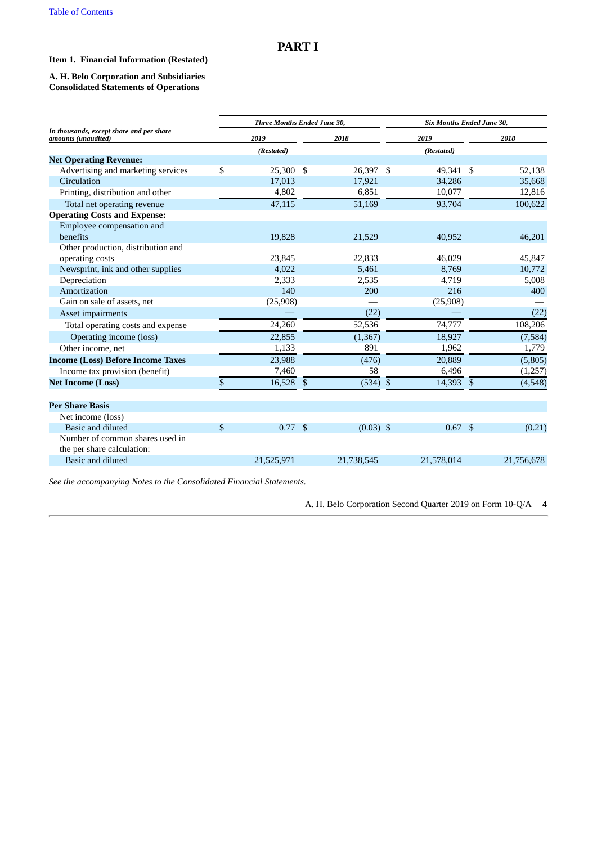## <span id="page-3-0"></span>**PART I**

#### <span id="page-3-1"></span>**Item 1. Financial Information (Restated)**

#### **A. H. Belo Corporation and Subsidiaries Consolidated Statements of Operations**

|                                                                 | Three Months Ended June 30, |             | Six Months Ended June 30, |            |                |            |  |  |
|-----------------------------------------------------------------|-----------------------------|-------------|---------------------------|------------|----------------|------------|--|--|
| In thousands, except share and per share<br>amounts (unaudited) | 2019                        | 2018        |                           | 2019       |                | 2018       |  |  |
|                                                                 | (Restated)                  |             |                           | (Restated) |                |            |  |  |
| <b>Net Operating Revenue:</b>                                   |                             |             |                           |            |                |            |  |  |
| Advertising and marketing services                              | \$<br>25,300 \$             | 26,397 \$   |                           | 49,341 \$  |                | 52,138     |  |  |
| Circulation                                                     | 17,013                      | 17,921      |                           | 34,286     |                | 35,668     |  |  |
| Printing, distribution and other                                | 4,802                       | 6,851       |                           | 10,077     |                | 12,816     |  |  |
| Total net operating revenue                                     | 47,115                      | 51,169      |                           | 93,704     |                | 100,622    |  |  |
| <b>Operating Costs and Expense:</b>                             |                             |             |                           |            |                |            |  |  |
| Employee compensation and                                       |                             |             |                           |            |                |            |  |  |
| benefits                                                        | 19,828                      | 21,529      |                           | 40,952     |                | 46,201     |  |  |
| Other production, distribution and                              |                             |             |                           |            |                |            |  |  |
| operating costs                                                 | 23,845                      | 22,833      |                           | 46,029     |                | 45,847     |  |  |
| Newsprint, ink and other supplies                               | 4,022                       | 5,461       |                           | 8,769      |                | 10,772     |  |  |
| Depreciation                                                    | 2,333                       | 2,535       |                           | 4,719      |                | 5,008      |  |  |
| Amortization                                                    | 140                         | 200         |                           | 216        |                | 400        |  |  |
| Gain on sale of assets, net                                     | (25,908)                    |             |                           | (25,908)   |                |            |  |  |
| Asset impairments                                               |                             | (22)        |                           |            |                | (22)       |  |  |
| Total operating costs and expense                               | 24,260                      | 52,536      |                           | 74,777     |                | 108,206    |  |  |
| Operating income (loss)                                         | 22,855                      | (1, 367)    |                           | 18,927     |                | (7, 584)   |  |  |
| Other income, net                                               | 1,133                       | 891         |                           | 1,962      |                | 1,779      |  |  |
| <b>Income (Loss) Before Income Taxes</b>                        | 23,988                      | (476)       |                           | 20,889     |                | (5,805)    |  |  |
| Income tax provision (benefit)                                  | 7,460                       | 58          |                           | 6,496      |                | (1,257)    |  |  |
| <b>Net Income (Loss)</b>                                        | \$<br>16,528                | \$<br>(534) | $\mathfrak{F}$            | 14,393     | $\mathfrak{S}$ | (4,548)    |  |  |
| <b>Per Share Basis</b>                                          |                             |             |                           |            |                |            |  |  |
| Net income (loss)                                               |                             |             |                           |            |                |            |  |  |
| Basic and diluted                                               | \$<br>$0.77$ \$             | $(0.03)$ \$ |                           | 0.67       | \$             | (0.21)     |  |  |
| Number of common shares used in                                 |                             |             |                           |            |                |            |  |  |
| the per share calculation:                                      |                             |             |                           |            |                |            |  |  |
| Basic and diluted                                               | 21,525,971                  | 21,738,545  |                           | 21,578,014 |                | 21,756,678 |  |  |

*See the accompanying Notes to the Consolidated Financial Statements.*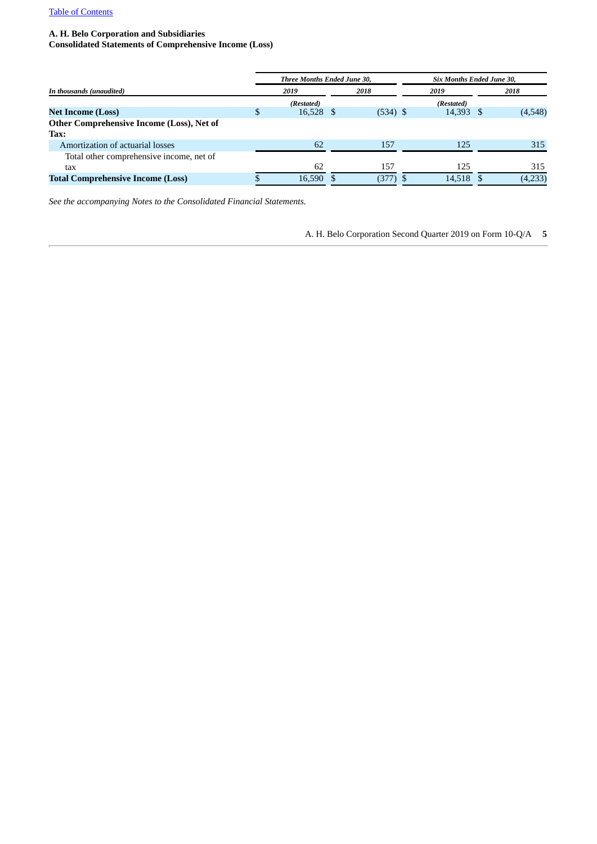#### **A. H. Belo Corporation and Subsidiaries**

**Consolidated Statements of Comprehensive Income (Loss)**

|                                           |   | Three Months Ended June 30, |            | Six Months Ended June 30, |         |
|-------------------------------------------|---|-----------------------------|------------|---------------------------|---------|
| In thousands (unaudited)                  |   | 2019                        | 2018       | 2019                      | 2018    |
|                                           |   | (Restated)                  |            | (Restated)                |         |
| <b>Net Income (Loss)</b>                  | S | 16,528 \$                   | $(534)$ \$ | 14,393 \$                 | (4,548) |
| Other Comprehensive Income (Loss), Net of |   |                             |            |                           |         |
| Tax:                                      |   |                             |            |                           |         |
| Amortization of actuarial losses          |   | 62                          | 157        | 125                       | 315     |
| Total other comprehensive income, net of  |   |                             |            |                           |         |
| tax                                       |   | 62                          | 157        | 125                       | 315     |
| <b>Total Comprehensive Income (Loss)</b>  |   | 16,590 \$                   | (377)      | 14,518 \$                 | (4,233) |
|                                           |   |                             |            |                           |         |

*See the accompanying Notes to the Consolidated Financial Statements.*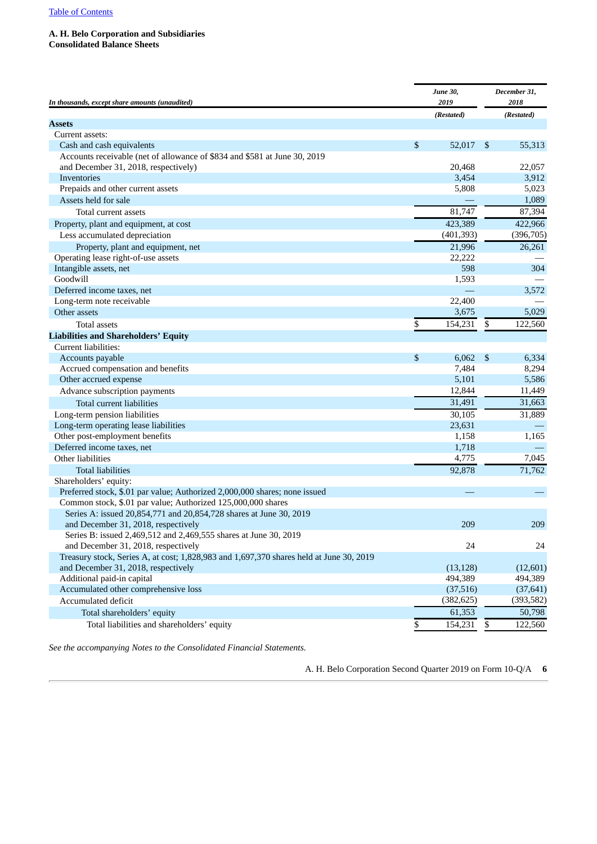#### **A. H. Belo Corporation and Subsidiaries Consolidated Balance Sheets**

| In thousands, except share amounts (unaudited)                                          | <b>June 30,</b><br>2019 |                | December 31,<br>2018 |
|-----------------------------------------------------------------------------------------|-------------------------|----------------|----------------------|
|                                                                                         | (Restated)              |                | (Restated)           |
| <b>Assets</b>                                                                           |                         |                |                      |
| Current assets:                                                                         |                         |                |                      |
| Cash and cash equivalents                                                               | \$<br>52,017            | $\mathfrak{F}$ | 55,313               |
| Accounts receivable (net of allowance of \$834 and \$581 at June 30, 2019               |                         |                |                      |
| and December 31, 2018, respectively)                                                    | 20,468                  |                | 22,057               |
| Inventories                                                                             | 3,454                   |                | 3,912                |
| Prepaids and other current assets                                                       | 5,808                   |                | 5,023                |
| Assets held for sale                                                                    |                         |                | 1,089                |
| Total current assets                                                                    | 81,747                  |                | 87,394               |
| Property, plant and equipment, at cost                                                  | 423,389                 |                | 422,966              |
| Less accumulated depreciation                                                           | (401, 393)              |                | (396, 705)           |
| Property, plant and equipment, net                                                      | 21,996                  |                | 26,261               |
| Operating lease right-of-use assets                                                     | 22,222                  |                |                      |
| Intangible assets, net                                                                  | 598                     |                | 304                  |
| Goodwill                                                                                | 1,593                   |                |                      |
| Deferred income taxes, net                                                              |                         |                | 3,572                |
| Long-term note receivable                                                               | 22,400                  |                |                      |
| Other assets                                                                            | 3,675                   |                | 5,029                |
| <b>Total assets</b>                                                                     | \$<br>154,231           | \$             | 122,560              |
| <b>Liabilities and Shareholders' Equity</b>                                             |                         |                |                      |
| Current liabilities:                                                                    |                         |                |                      |
| Accounts payable                                                                        | \$<br>6.062             | $\mathfrak{F}$ | 6,334                |
| Accrued compensation and benefits                                                       | 7,484                   |                | 8,294                |
| Other accrued expense                                                                   | 5,101                   |                | 5,586                |
| Advance subscription payments                                                           | 12,844                  |                | 11,449               |
| <b>Total current liabilities</b>                                                        | 31,491                  |                | 31,663               |
| Long-term pension liabilities                                                           | 30,105                  |                | 31,889               |
| Long-term operating lease liabilities                                                   | 23,631                  |                |                      |
| Other post-employment benefits                                                          | 1,158                   |                | 1,165                |
| Deferred income taxes, net                                                              | 1,718                   |                |                      |
| Other liabilities                                                                       | 4,775                   |                | 7,045                |
| <b>Total liabilities</b>                                                                | 92,878                  |                | 71,762               |
| Shareholders' equity:                                                                   |                         |                |                      |
| Preferred stock, \$.01 par value; Authorized 2,000,000 shares; none issued              |                         |                |                      |
| Common stock, \$.01 par value; Authorized 125,000,000 shares                            |                         |                |                      |
| Series A: issued 20,854,771 and 20,854,728 shares at June 30, 2019                      |                         |                |                      |
| and December 31, 2018, respectively                                                     | 209                     |                | 209                  |
| Series B: issued 2,469,512 and 2,469,555 shares at June 30, 2019                        |                         |                |                      |
| and December 31, 2018, respectively                                                     | 24                      |                | 24                   |
| Treasury stock, Series A, at cost; 1,828,983 and 1,697,370 shares held at June 30, 2019 |                         |                |                      |
| and December 31, 2018, respectively                                                     | (13, 128)               |                | (12,601)             |
| Additional paid-in capital                                                              | 494,389                 |                | 494,389              |
| Accumulated other comprehensive loss                                                    | (37,516)                |                | (37, 641)            |
| Accumulated deficit                                                                     | (382, 625)              |                | (393, 582)           |
| Total shareholders' equity                                                              | 61,353                  |                | 50,798               |
| Total liabilities and shareholders' equity                                              | \$<br>154,231           | \$             | 122,560              |

*See the accompanying Notes to the Consolidated Financial Statements.*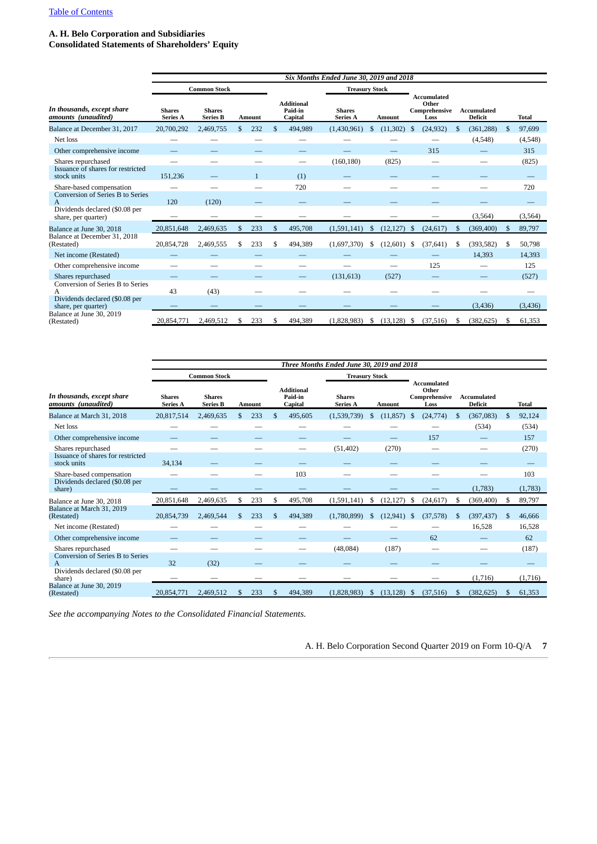#### **A. H. Belo Corporation and Subsidiaries**

**Consolidated Statements of Shareholders' Equity**

|                                                         | Six Months Ended June 30, 2019 and 2018 |                                  |               |               |    |                                         |                                  |    |               |     |                                                      |    |                               |               |              |
|---------------------------------------------------------|-----------------------------------------|----------------------------------|---------------|---------------|----|-----------------------------------------|----------------------------------|----|---------------|-----|------------------------------------------------------|----|-------------------------------|---------------|--------------|
|                                                         |                                         | <b>Common Stock</b>              |               |               |    |                                         | <b>Treasury Stock</b>            |    |               |     |                                                      |    |                               |               |              |
| In thousands, except share<br>amounts (unaudited)       | <b>Shares</b><br>Series A               | <b>Shares</b><br><b>Series B</b> |               | <b>Amount</b> |    | <b>Additional</b><br>Paid-in<br>Capital | <b>Shares</b><br><b>Series A</b> |    | <b>Amount</b> |     | <b>Accumulated</b><br>Other<br>Comprehensive<br>Loss |    | <b>Accumulated</b><br>Deficit |               | <b>Total</b> |
| Balance at December 31, 2017                            | 20,700,292                              | 2,469,755                        | $\mathcal{S}$ | 232           | \$ | 494,989                                 | (1,430,961)                      | S  | (11,302)      | \$  | (24, 932)                                            | \$ | (361, 288)                    | \$.           | 97,699       |
| Net loss                                                |                                         |                                  |               |               |    |                                         |                                  |    |               |     |                                                      |    | (4,548)                       |               | (4,548)      |
| Other comprehensive income                              |                                         |                                  |               |               |    |                                         |                                  |    |               |     | 315                                                  |    |                               |               | 315          |
| Shares repurchased                                      |                                         |                                  |               |               |    | $\overline{\phantom{0}}$                | (160, 180)                       |    | (825)         |     |                                                      |    |                               |               | (825)        |
| Issuance of shares for restricted<br>stock units        | 151,236                                 |                                  |               | $\mathbf{1}$  |    | (1)                                     |                                  |    |               |     |                                                      |    |                               |               |              |
| Share-based compensation                                |                                         |                                  |               |               |    | 720                                     |                                  |    |               |     |                                                      |    |                               |               | 720          |
| <b>Conversion of Series B to Series</b><br>$\mathsf{A}$ | 120                                     | (120)                            |               |               |    |                                         |                                  |    |               |     |                                                      |    |                               |               |              |
| Dividends declared (\$0.08 per<br>share, per quarter)   |                                         |                                  |               |               |    |                                         |                                  |    |               |     |                                                      |    | (3,564)                       |               | (3, 564)     |
| Balance at June 30, 2018                                | 20,851,648                              | 2,469,635                        | \$            | 233           | \$ | 495,708                                 | (1,591,141)                      | \$ | (12, 127)     | -\$ | (24, 617)                                            | \$ | (369, 400)                    | <sup>\$</sup> | 89,797       |
| Balance at December 31, 2018<br>(Restated)              | 20,854,728                              | 2,469,555                        |               | 233           | \$ | 494,389                                 | (1,697,370)                      | \$ | $(12,601)$ \$ |     | (37, 641)                                            | \$ | (393, 582)                    | \$            | 50,798       |
| Net income (Restated)                                   |                                         |                                  |               |               |    |                                         |                                  |    |               |     |                                                      |    | 14,393                        |               | 14,393       |
| Other comprehensive income                              |                                         |                                  |               |               |    |                                         |                                  |    |               |     | 125                                                  |    |                               |               | 125          |
| Shares repurchased                                      |                                         |                                  |               |               |    |                                         | (131, 613)                       |    | (527)         |     |                                                      |    |                               |               | (527)        |
| Conversion of Series B to Series<br>A                   | 43                                      | (43)                             |               |               |    |                                         |                                  |    |               |     |                                                      |    |                               |               |              |
| Dividends declared (\$0.08 per<br>share, per quarter)   |                                         |                                  |               |               |    |                                         |                                  |    |               |     |                                                      |    | (3, 436)                      |               | (3, 436)     |
| Balance at June 30, 2019<br>(Restated)                  | 20,854,771                              | 2,469,512                        |               | 233           |    | 494,389                                 | (1.828.983)                      | S. | (13.128)      | - S | (37, 516)                                            | S  | (382, 625)                    | -S            | 61,353       |

|                                                   | Three Months Ended June 30, 2019 and 2018 |                                  |    |               |    |                                         |                                  |               |               |      |                                                      |     |                               |               |              |
|---------------------------------------------------|-------------------------------------------|----------------------------------|----|---------------|----|-----------------------------------------|----------------------------------|---------------|---------------|------|------------------------------------------------------|-----|-------------------------------|---------------|--------------|
|                                                   |                                           | <b>Common Stock</b>              |    |               |    |                                         | <b>Treasury Stock</b>            |               |               |      |                                                      |     |                               |               |              |
| In thousands, except share<br>amounts (unaudited) | <b>Shares</b><br><b>Series A</b>          | <b>Shares</b><br><b>Series B</b> |    | <b>Amount</b> |    | <b>Additional</b><br>Paid-in<br>Capital | <b>Shares</b><br><b>Series A</b> |               | <b>Amount</b> |      | <b>Accumulated</b><br>Other<br>Comprehensive<br>Loss |     | <b>Accumulated</b><br>Deficit |               | <b>Total</b> |
| Balance at March 31, 2018                         | 20,817,514                                | 2,469,635                        | £. | 233           | \$ | 495,605                                 | (1,539,739)                      | S             | (11, 857)     | -S   | (24, 774)                                            | S   | (367,083)                     | <sup>\$</sup> | 92,124       |
| Net loss                                          |                                           |                                  |    |               |    |                                         |                                  |               |               |      |                                                      |     | (534)                         |               | (534)        |
| Other comprehensive income                        |                                           |                                  |    |               |    |                                         |                                  |               |               |      | 157                                                  |     |                               |               | 157          |
| Shares repurchased                                |                                           |                                  |    |               |    |                                         | (51, 402)                        |               | (270)         |      |                                                      |     |                               |               | (270)        |
| Issuance of shares for restricted<br>stock units  | 34,134                                    |                                  |    |               |    |                                         |                                  |               |               |      |                                                      |     |                               |               |              |
| Share-based compensation                          |                                           |                                  |    |               |    | 103                                     |                                  |               |               |      |                                                      |     |                               |               | 103          |
| Dividends declared (\$0.08 per<br>share)          |                                           |                                  |    |               |    |                                         |                                  |               |               |      |                                                      |     | (1,783)                       |               | (1,783)      |
| Balance at June 30, 2018                          | 20,851,648                                | 2,469,635                        | \$ | 233           | \$ | 495,708                                 | (1,591,141)                      | S             | (12, 127)     | - \$ | (24, 617)                                            | -\$ | (369, 400)                    | \$            | 89,797       |
| Balance at March 31, 2019<br>(Restated)           | 20,854,739                                | 2,469,544                        |    | 233           | \$ | 494,389                                 | (1,780,899)                      | \$.           | (12, 941)     | - \$ | (37, 578)                                            | \$  | (397, 437)                    | <sup>\$</sup> | 46.666       |
| Net income (Restated)                             |                                           |                                  |    |               |    |                                         |                                  |               |               |      |                                                      |     | 16,528                        |               | 16,528       |
| Other comprehensive income                        |                                           |                                  |    |               |    |                                         |                                  |               |               |      | 62                                                   |     |                               |               | 62           |
| Shares repurchased                                |                                           |                                  |    |               |    | --                                      | (48,084)                         |               | (187)         |      |                                                      |     | –                             |               | (187)        |
| Conversion of Series B to Series<br>A             | 32                                        | (32)                             |    |               |    |                                         |                                  |               |               |      |                                                      |     |                               |               |              |
| Dividends declared (\$0.08 per<br>share)          |                                           |                                  |    |               |    |                                         |                                  |               |               |      |                                                      |     | (1,716)                       |               | (1,716)      |
| Balance at June 30, 2019<br>(Restated)            | 20.854,771                                | 2,469,512                        |    | 233           | \$ | 494,389                                 | (1,828,983)                      | <sup>\$</sup> | (13, 128)     | -\$  | (37, 516)                                            | \$  | (382, 625)                    |               | 61,353       |

*See the accompanying Notes to the Consolidated Financial Statements.*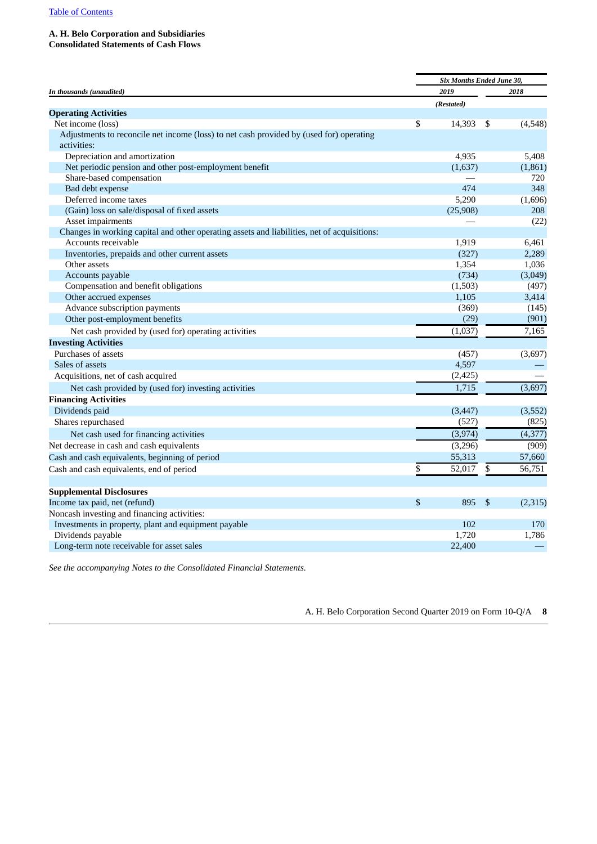#### **A. H. Belo Corporation and Subsidiaries**

**Consolidated Statements of Cash Flows**

|                                                                                             | Six Months Ended June 30, |               |          |
|---------------------------------------------------------------------------------------------|---------------------------|---------------|----------|
| In thousands (unaudited)                                                                    | 2019                      |               | 2018     |
|                                                                                             | (Restated)                |               |          |
| <b>Operating Activities</b>                                                                 |                           |               |          |
| Net income (loss)                                                                           | \$<br>14,393              | -\$           | (4,548)  |
| Adjustments to reconcile net income (loss) to net cash provided by (used for) operating     |                           |               |          |
| activities:                                                                                 |                           |               |          |
| Depreciation and amortization                                                               | 4,935                     |               | 5,408    |
| Net periodic pension and other post-employment benefit                                      | (1,637)                   |               | (1,861)  |
| Share-based compensation                                                                    |                           |               | 720      |
| Bad debt expense                                                                            | 474                       |               | 348      |
| Deferred income taxes                                                                       | 5,290                     |               | (1,696)  |
| (Gain) loss on sale/disposal of fixed assets                                                | (25,908)                  |               | 208      |
| Asset impairments                                                                           |                           |               | (22)     |
| Changes in working capital and other operating assets and liabilities, net of acquisitions: |                           |               |          |
| Accounts receivable                                                                         | 1,919                     |               | 6,461    |
| Inventories, prepaids and other current assets                                              | (327)                     |               | 2,289    |
| Other assets                                                                                | 1,354                     |               | 1,036    |
| Accounts payable                                                                            | (734)                     |               | (3,049)  |
| Compensation and benefit obligations                                                        | (1,503)                   |               | (497)    |
| Other accrued expenses                                                                      | 1,105                     |               | 3,414    |
| Advance subscription payments                                                               | (369)                     |               | (145)    |
| Other post-employment benefits                                                              | (29)                      |               | (901)    |
| Net cash provided by (used for) operating activities                                        | (1,037)                   |               | 7,165    |
| <b>Investing Activities</b>                                                                 |                           |               |          |
| Purchases of assets                                                                         | (457)                     |               | (3,697)  |
| Sales of assets                                                                             | 4,597                     |               |          |
| Acquisitions, net of cash acquired                                                          | (2, 425)                  |               |          |
| Net cash provided by (used for) investing activities                                        | 1,715                     |               | (3,697)  |
| <b>Financing Activities</b>                                                                 |                           |               |          |
| Dividends paid                                                                              | (3, 447)                  |               | (3,552)  |
| Shares repurchased                                                                          | (527)                     |               | (825)    |
| Net cash used for financing activities                                                      | (3,974)                   |               | (4, 377) |
| Net decrease in cash and cash equivalents                                                   | (3,296)                   |               | (909)    |
| Cash and cash equivalents, beginning of period                                              | 55,313                    |               | 57,660   |
|                                                                                             | \$<br>52,017              | \$            | 56,751   |
| Cash and cash equivalents, end of period                                                    |                           |               |          |
| <b>Supplemental Disclosures</b>                                                             |                           |               |          |
| Income tax paid, net (refund)                                                               | \$<br>895                 | <sup>\$</sup> | (2,315)  |
| Noncash investing and financing activities:                                                 |                           |               |          |
| Investments in property, plant and equipment payable                                        | 102                       |               | 170      |
| Dividends payable                                                                           | 1,720                     |               | 1,786    |
| Long-term note receivable for asset sales                                                   | 22,400                    |               |          |

*See the accompanying Notes to the Consolidated Financial Statements.*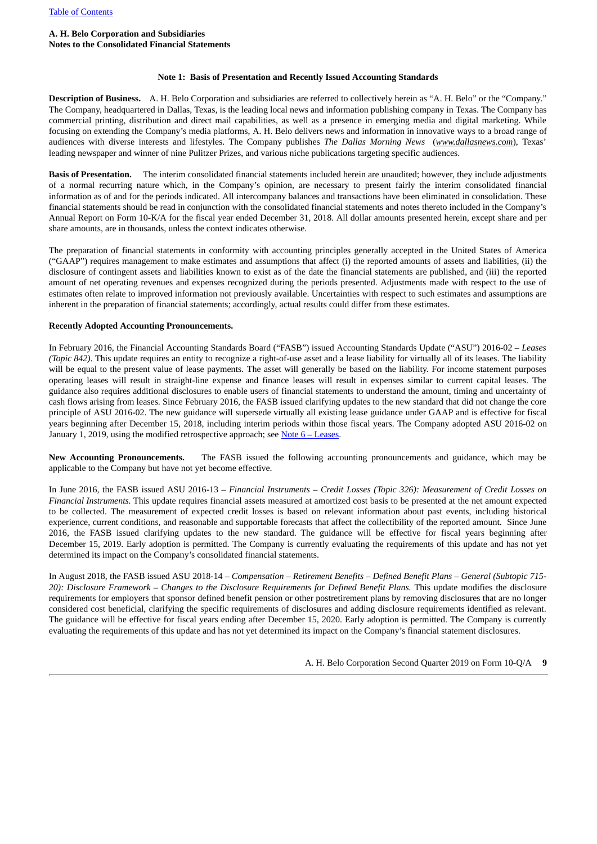#### **A. H. Belo Corporation and Subsidiaries Notes to the Consolidated Financial Statements**

#### **Note 1: Basis of Presentation and Recently Issued Accounting Standards**

**Description of Business.** A. H. Belo Corporation and subsidiaries are referred to collectively herein as "A. H. Belo" or the "Company." The Company, headquartered in Dallas, Texas, is the leading local news and information publishing company in Texas. The Company has commercial printing, distribution and direct mail capabilities, as well as a presence in emerging media and digital marketing. While focusing on extending the Company's media platforms, A. H. Belo delivers news and information in innovative ways to a broad range of audiences with diverse interests and lifestyles. The Company publishes *The Dallas Morning News* (*www.dallasnews.com*), Texas' leading newspaper and winner of nine Pulitzer Prizes, and various niche publications targeting specific audiences.

**Basis of Presentation.** The interim consolidated financial statements included herein are unaudited; however, they include adjustments of a normal recurring nature which, in the Company's opinion, are necessary to present fairly the interim consolidated financial information as of and for the periods indicated. All intercompany balances and transactions have been eliminated in consolidation. These financial statements should be read in conjunction with the consolidated financial statements and notes thereto included in the Company's Annual Report on Form 10-K/A for the fiscal year ended December 31, 2018. All dollar amounts presented herein, except share and per share amounts, are in thousands, unless the context indicates otherwise.

The preparation of financial statements in conformity with accounting principles generally accepted in the United States of America ("GAAP") requires management to make estimates and assumptions that affect (i) the reported amounts of assets and liabilities, (ii) the disclosure of contingent assets and liabilities known to exist as of the date the financial statements are published, and (iii) the reported amount of net operating revenues and expenses recognized during the periods presented. Adjustments made with respect to the use of estimates often relate to improved information not previously available. Uncertainties with respect to such estimates and assumptions are inherent in the preparation of financial statements; accordingly, actual results could differ from these estimates.

#### **Recently Adopted Accounting Pronouncements.**

In February 2016, the Financial Accounting Standards Board ("FASB") issued Accounting Standards Update ("ASU") 2016-02 – *Leases (Topic 842)*. This update requires an entity to recognize a right-of-use asset and a lease liability for virtually all of its leases. The liability will be equal to the present value of lease payments. The asset will generally be based on the liability. For income statement purposes operating leases will result in straight-line expense and finance leases will result in expenses similar to current capital leases. The guidance also requires additional disclosures to enable users of financial statements to understand the amount, timing and uncertainty of cash flows arising from leases. Since February 2016, the FASB issued clarifying updates to the new standard that did not change the core principle of ASU 2016-02. The new guidance will supersede virtually all existing lease guidance under GAAP and is effective for fiscal years beginning after December 15, 2018, including interim periods within those fiscal years. The Company adopted ASU 2016-02 on January 1, 2019, using the modified retrospective approach; see Note  $6 -$  [Leases](#page-14-0).

**New Accounting Pronouncements.** The FASB issued the following accounting pronouncements and guidance, which may be applicable to the Company but have not yet become effective.

In June 2016, the FASB issued ASU 2016-13 – *Financial Instruments – Credit Losses (Topic 326): Measurement of Credit Losses on Financial Instruments.* This update requires financial assets measured at amortized cost basis to be presented at the net amount expected to be collected. The measurement of expected credit losses is based on relevant information about past events, including historical experience, current conditions, and reasonable and supportable forecasts that affect the collectibility of the reported amount. Since June 2016, the FASB issued clarifying updates to the new standard. The guidance will be effective for fiscal years beginning after December 15, 2019. Early adoption is permitted. The Company is currently evaluating the requirements of this update and has not yet determined its impact on the Company's consolidated financial statements.

In August 2018, the FASB issued ASU 2018-14 – *Compensation – Retirement Benefits – Defined Benefit Plans – General (Subtopic 715- 20): Disclosure Framework* – *Changes to the Disclosure Requirements for Defined Benefit Plans.* This update modifies the disclosure requirements for employers that sponsor defined benefit pension or other postretirement plans by removing disclosures that are no longer considered cost beneficial, clarifying the specific requirements of disclosures and adding disclosure requirements identified as relevant. The guidance will be effective for fiscal years ending after December 15, 2020. Early adoption is permitted. The Company is currently evaluating the requirements of this update and has not yet determined its impact on the Company's financial statement disclosures.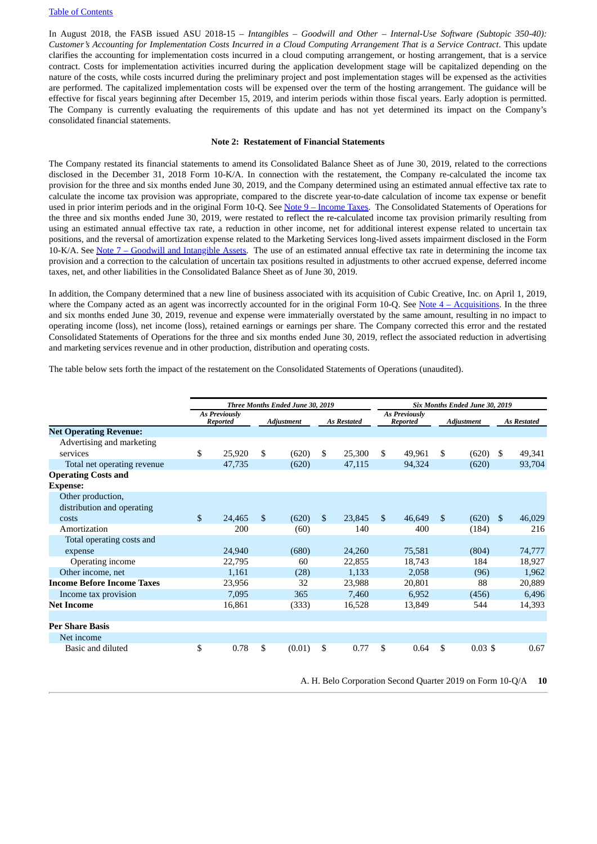In August 2018, the FASB issued ASU 2018-15 – *Intangibles – Goodwill and Other – Internal-Use Software (Subtopic 350-40):* Customer's Accounting for Implementation Costs Incurred in a Cloud Computing Arrangement That is a Service Contract. This update clarifies the accounting for implementation costs incurred in a cloud computing arrangement, or hosting arrangement, that is a service contract. Costs for implementation activities incurred during the application development stage will be capitalized depending on the nature of the costs, while costs incurred during the preliminary project and post implementation stages will be expensed as the activities are performed. The capitalized implementation costs will be expensed over the term of the hosting arrangement. The guidance will be effective for fiscal years beginning after December 15, 2019, and interim periods within those fiscal years. Early adoption is permitted. The Company is currently evaluating the requirements of this update and has not yet determined its impact on the Company's consolidated financial statements.

#### **Note 2: Restatement of Financial Statements**

<span id="page-9-0"></span>The Company restated its financial statements to amend its Consolidated Balance Sheet as of June 30, 2019, related to the corrections disclosed in the December 31, 2018 Form 10-K/A. In connection with the restatement, the Company re-calculated the income tax provision for the three and six months ended June 30, 2019, and the Company determined using an estimated annual effective tax rate to calculate the income tax provision was appropriate, compared to the discrete year-to-date calculation of income tax expense or benefit used in prior interim periods and in the original Form 10-Q. See Note 9 – [Income](#page-16-0) Taxes. The Consolidated Statements of Operations for the three and six months ended June 30, 2019, were restated to reflect the re-calculated income tax provision primarily resulting from using an estimated annual effective tax rate, a reduction in other income, net for additional interest expense related to uncertain tax positions, and the reversal of amortization expense related to the Marketing Services long-lived assets impairment disclosed in the Form 10-K/A. See Note 7 – Goodwill and [Intangible](#page-16-1) Assets. The use of an estimated annual effective tax rate in determining the income tax provision and a correction to the calculation of uncertain tax positions resulted in adjustments to other accrued expense, deferred income taxes, net, and other liabilities in the Consolidated Balance Sheet as of June 30, 2019.

In addition, the Company determined that a new line of business associated with its acquisition of Cubic Creative, Inc. on April 1, 2019, where the Company acted as an agent was incorrectly accounted for in the original Form 10-Q. See Note  $4 -$  [Acquisitions](#page-12-0). In the three and six months ended June 30, 2019, revenue and expense were immaterially overstated by the same amount, resulting in no impact to operating income (loss), net income (loss), retained earnings or earnings per share. The Company corrected this error and the restated Consolidated Statements of Operations for the three and six months ended June 30, 2019, reflect the associated reduction in advertising and marketing services revenue and in other production, distribution and operating costs.

The table below sets forth the impact of the restatement on the Consolidated Statements of Operations (unaudited).

|                                                 | Three Months Ended June 30, 2019 |              |                   |              |                    |              |                                  | Six Months Ended June 30, 2019 |                    |              |                    |  |  |  |  |
|-------------------------------------------------|----------------------------------|--------------|-------------------|--------------|--------------------|--------------|----------------------------------|--------------------------------|--------------------|--------------|--------------------|--|--|--|--|
|                                                 |                                  |              |                   |              |                    |              |                                  |                                |                    |              |                    |  |  |  |  |
|                                                 | <b>As Previously</b><br>Reported |              | <b>Adjustment</b> |              | <b>As Restated</b> |              | <b>As Previously</b><br>Reported |                                | <b>Adjustment</b>  |              | <b>As Restated</b> |  |  |  |  |
| <b>Net Operating Revenue:</b>                   |                                  |              |                   |              |                    |              |                                  |                                |                    |              |                    |  |  |  |  |
| Advertising and marketing                       |                                  |              |                   |              |                    |              |                                  |                                |                    |              |                    |  |  |  |  |
| services                                        | \$<br>25,920                     | \$           | (620)             | \$           | 25,300             | \$           | 49,961                           | \$.                            | (620)              | - \$         | 49,341             |  |  |  |  |
| Total net operating revenue                     | 47,735                           |              | (620)             |              | 47,115             |              | 94,324                           |                                | (620)              |              | 93,704             |  |  |  |  |
| <b>Operating Costs and</b>                      |                                  |              |                   |              |                    |              |                                  |                                |                    |              |                    |  |  |  |  |
| <b>Expense:</b>                                 |                                  |              |                   |              |                    |              |                                  |                                |                    |              |                    |  |  |  |  |
| Other production,<br>distribution and operating |                                  |              |                   |              |                    |              |                                  |                                |                    |              |                    |  |  |  |  |
| costs                                           | \$<br>24,465                     | $\mathbb{S}$ | (620)             | $\mathbb{S}$ | 23,845             | $\mathbb{S}$ | 46,649                           | S                              | (620)              | $\mathbf{s}$ | 46,029             |  |  |  |  |
| Amortization                                    | 200                              |              | (60)              |              | 140                |              | 400                              |                                | (184)              |              | 216                |  |  |  |  |
| Total operating costs and                       |                                  |              |                   |              |                    |              |                                  |                                |                    |              |                    |  |  |  |  |
| expense                                         | 24,940                           |              | (680)             |              | 24,260             |              | 75,581                           |                                | (804)              |              | 74,777             |  |  |  |  |
| Operating income                                | 22,795                           |              | 60                |              | 22,855             |              | 18,743                           |                                | 184                |              | 18,927             |  |  |  |  |
| Other income, net                               | 1,161                            |              | (28)              |              | 1,133              |              | 2,058                            |                                | (96)               |              | 1,962              |  |  |  |  |
| <b>Income Before Income Taxes</b>               | 23,956                           |              | 32                |              | 23,988             |              | 20,801                           |                                | 88                 |              | 20,889             |  |  |  |  |
| Income tax provision                            | 7,095                            |              | 365               |              | 7,460              |              | 6,952                            |                                | (456)              |              | 6,496              |  |  |  |  |
| <b>Net Income</b>                               | 16,861                           |              | (333)             |              | 16,528             |              | 13,849                           |                                | 544                |              | 14,393             |  |  |  |  |
|                                                 |                                  |              |                   |              |                    |              |                                  |                                |                    |              |                    |  |  |  |  |
| <b>Per Share Basis</b>                          |                                  |              |                   |              |                    |              |                                  |                                |                    |              |                    |  |  |  |  |
| Net income                                      |                                  |              |                   |              |                    |              |                                  |                                |                    |              |                    |  |  |  |  |
| Basic and diluted                               | \$<br>0.78                       | \$           | (0.01)            | \$           | 0.77               | \$           | 0.64                             | \$                             | $0.03 \text{ }$ \$ |              | 0.67               |  |  |  |  |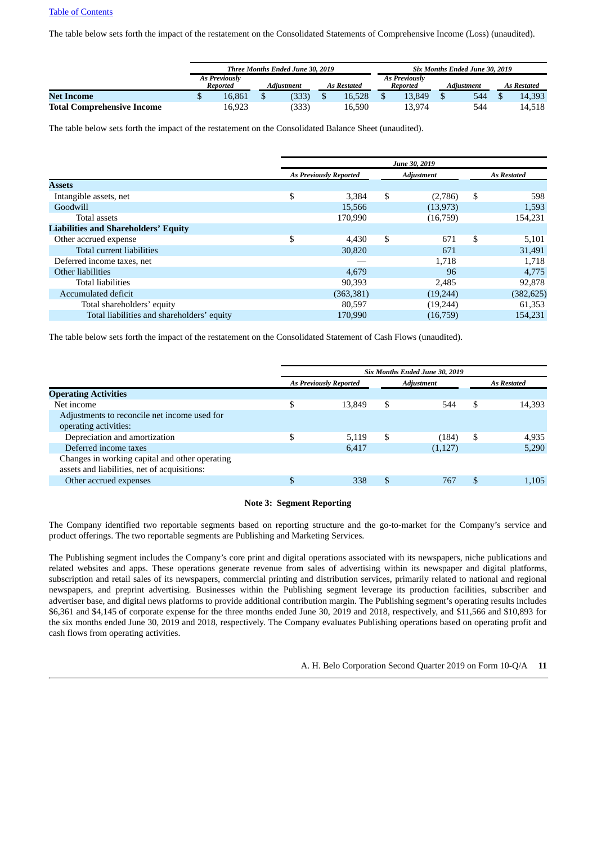The table below sets forth the impact of the restatement on the Consolidated Statements of Comprehensive Income (Loss) (unaudited).

|                                   |   |                                  | Three Months Ended June 30, 2019 |                    | Six Months Ended June 30, 2019   |            |                    |
|-----------------------------------|---|----------------------------------|----------------------------------|--------------------|----------------------------------|------------|--------------------|
|                                   |   | <b>As Previously</b><br>Reported | Adiustment                       | <b>As Restated</b> | <b>As Previously</b><br>Reported | Adiustment | <b>As Restated</b> |
| <b>Net Income</b>                 | Ψ | 16.861                           | (333)                            | 16.528             | 13.849                           | 544        | 14.393             |
| <b>Total Comprehensive Income</b> |   | 16,923                           | (333)                            | 16.590             | 13,974                           | 544        | 14,518             |

The table below sets forth the impact of the restatement on the Consolidated Balance Sheet (unaudited).

|                                             |                               | June 30, 2019     |                    |
|---------------------------------------------|-------------------------------|-------------------|--------------------|
|                                             | <b>As Previously Reported</b> | <b>Adjustment</b> | <b>As Restated</b> |
| <b>Assets</b>                               |                               |                   |                    |
| Intangible assets, net                      | \$<br>3,384                   | \$<br>(2,786)     | \$<br>598          |
| Goodwill                                    | 15,566                        | (13, 973)         | 1,593              |
| Total assets                                | 170,990                       | (16,759)          | 154,231            |
| <b>Liabilities and Shareholders' Equity</b> |                               |                   |                    |
| Other accrued expense                       | \$<br>4,430                   | \$<br>671         | \$<br>5,101        |
| Total current liabilities                   | 30,820                        | 671               | 31,491             |
| Deferred income taxes, net                  |                               | 1.718             | 1.718              |
| Other liabilities                           | 4,679                         | 96                | 4,775              |
| <b>Total liabilities</b>                    | 90,393                        | 2,485             | 92,878             |
| Accumulated deficit                         | (363, 381)                    | (19,244)          | (382,625)          |
| Total shareholders' equity                  | 80,597                        | (19,244)          | 61,353             |
| Total liabilities and shareholders' equity  | 170.990                       | (16,759)          | 154.231            |

The table below sets forth the impact of the restatement on the Consolidated Statement of Cash Flows (unaudited).

|                    | Six Months Ended June 30, 2019 |    |                               |                                                                                                |  |  |  |  |  |
|--------------------|--------------------------------|----|-------------------------------|------------------------------------------------------------------------------------------------|--|--|--|--|--|
| <b>As Restated</b> | <b>Adjustment</b>              |    | <b>As Previously Reported</b> |                                                                                                |  |  |  |  |  |
|                    |                                |    |                               | <b>Operating Activities</b>                                                                    |  |  |  |  |  |
| \$<br>14,393       | 544                            | \$ | 13,849                        | \$<br>Net income                                                                               |  |  |  |  |  |
|                    |                                |    |                               | Adjustments to reconcile net income used for<br>operating activities:                          |  |  |  |  |  |
| \$<br>4,935        | (184)                          | \$ | 5.119                         | \$<br>Depreciation and amortization                                                            |  |  |  |  |  |
| 5,290              | (1,127)                        |    | 6,417                         | Deferred income taxes                                                                          |  |  |  |  |  |
|                    |                                |    |                               | Changes in working capital and other operating<br>assets and liabilities, net of acquisitions: |  |  |  |  |  |
| \$<br>1,105        | 767                            | S  | 338                           | \$<br>Other accrued expenses                                                                   |  |  |  |  |  |
|                    |                                |    |                               |                                                                                                |  |  |  |  |  |

#### **Note 3: Segment Reporting**

<span id="page-10-0"></span>The Company identified two reportable segments based on reporting structure and the go-to-market for the Company's service and product offerings. The two reportable segments are Publishing and Marketing Services.

The Publishing segment includes the Company's core print and digital operations associated with its newspapers, niche publications and related websites and apps. These operations generate revenue from sales of advertising within its newspaper and digital platforms, subscription and retail sales of its newspapers, commercial printing and distribution services, primarily related to national and regional newspapers, and preprint advertising. Businesses within the Publishing segment leverage its production facilities, subscriber and advertiser base, and digital news platforms to provide additional contribution margin. The Publishing segment's operating results includes \$6,361 and \$4,145 of corporate expense for the three months ended June 30, 2019 and 2018, respectively, and \$11,566 and \$10,893 for the six months ended June 30, 2019 and 2018, respectively. The Company evaluates Publishing operations based on operating profit and cash flows from operating activities.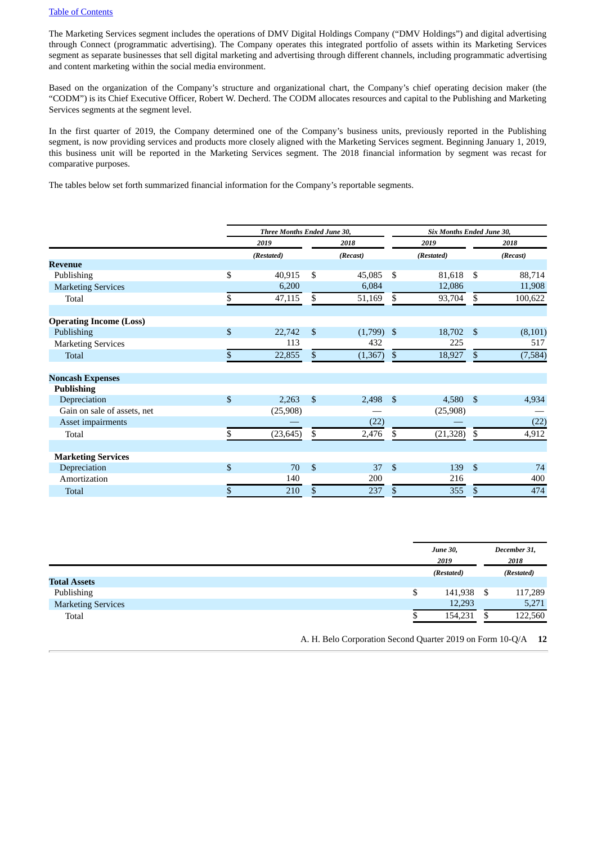The Marketing Services segment includes the operations of DMV Digital Holdings Company ("DMV Holdings") and digital advertising through Connect (programmatic advertising). The Company operates this integrated portfolio of assets within its Marketing Services segment as separate businesses that sell digital marketing and advertising through different channels, including programmatic advertising and content marketing within the social media environment.

Based on the organization of the Company's structure and organizational chart, the Company's chief operating decision maker (the "CODM") is its Chief Executive Officer, Robert W. Decherd. The CODM allocates resources and capital to the Publishing and Marketing Services segments at the segment level.

In the first quarter of 2019, the Company determined one of the Company's business units, previously reported in the Publishing segment, is now providing services and products more closely aligned with the Marketing Services segment. Beginning January 1, 2019, this business unit will be reported in the Marketing Services segment. The 2018 financial information by segment was recast for comparative purposes.

The tables below set forth summarized financial information for the Company's reportable segments.

|                                | Three Months Ended June 30, |                    |              | Six Months Ended June 30, |            |                    |          |  |  |  |  |  |
|--------------------------------|-----------------------------|--------------------|--------------|---------------------------|------------|--------------------|----------|--|--|--|--|--|
|                                | 2019                        |                    | 2018         |                           | 2019       |                    | 2018     |  |  |  |  |  |
|                                | (Restated)                  |                    | (Recast)     |                           | (Restated) |                    | (Recast) |  |  |  |  |  |
| <b>Revenue</b>                 |                             |                    |              |                           |            |                    |          |  |  |  |  |  |
| Publishing                     | \$<br>40,915                | \$                 | 45,085       | \$                        | 81,618     | \$                 | 88,714   |  |  |  |  |  |
| <b>Marketing Services</b>      | 6,200                       |                    | 6,084        |                           | 12,086     |                    | 11,908   |  |  |  |  |  |
| Total                          | \$<br>47,115                | \$                 | 51,169       | \$                        | 93,704     | \$                 | 100,622  |  |  |  |  |  |
| <b>Operating Income (Loss)</b> |                             |                    |              |                           |            |                    |          |  |  |  |  |  |
| Publishing                     | \$<br>22,742                | $\mathfrak{S}$     | $(1,799)$ \$ |                           | 18,702     | -\$                | (8,101)  |  |  |  |  |  |
| <b>Marketing Services</b>      | 113                         |                    | 432          |                           | 225        |                    | 517      |  |  |  |  |  |
| Total                          | \$<br>22,855                | \$                 | (1,367)      | $\mathfrak{S}$            | 18,927     | \$                 | (7,584)  |  |  |  |  |  |
| <b>Noncash Expenses</b>        |                             |                    |              |                           |            |                    |          |  |  |  |  |  |
| <b>Publishing</b>              |                             |                    |              |                           |            |                    |          |  |  |  |  |  |
| Depreciation                   | \$<br>2,263                 | $\mathfrak{S}$     | 2,498        | - \$                      | 4,580      | $\mathbf{\hat{S}}$ | 4,934    |  |  |  |  |  |
| Gain on sale of assets, net    | (25,908)                    |                    |              |                           | (25,908)   |                    |          |  |  |  |  |  |
| Asset impairments              |                             |                    | (22)         |                           |            |                    | (22)     |  |  |  |  |  |
| Total                          | (23, 645)                   | \$                 | 2,476        | \$                        | (21, 328)  | \$                 | 4,912    |  |  |  |  |  |
|                                |                             |                    |              |                           |            |                    |          |  |  |  |  |  |
| <b>Marketing Services</b>      |                             |                    |              |                           |            |                    |          |  |  |  |  |  |
| Depreciation                   | \$<br>70                    | $\mathbf{\hat{S}}$ | 37           | $\mathbf{\hat{S}}$        | 139        | $\mathcal{S}$      | 74       |  |  |  |  |  |
| Amortization                   | 140                         |                    | 200          |                           | 216        |                    | 400      |  |  |  |  |  |
| <b>Total</b>                   | \$<br>210                   | \$                 | 237          | \$                        | 355        | \$                 | 474      |  |  |  |  |  |

|                           | <b>June 30,</b><br>2019<br>(Restated) |      | December 31,<br>2018 |
|---------------------------|---------------------------------------|------|----------------------|
|                           |                                       |      | (Restated)           |
| <b>Total Assets</b>       |                                       |      |                      |
| Publishing                | \$<br>141,938                         | - \$ | 117,289              |
| <b>Marketing Services</b> | 12,293                                |      | 5,271                |
| Total                     | 154,231                               | S    | 122,560              |
|                           |                                       |      |                      |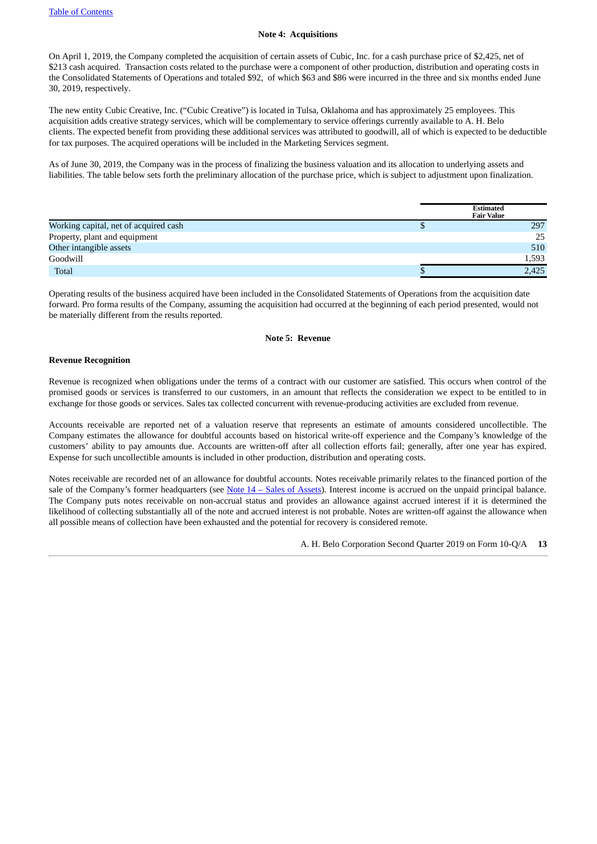#### **Note 4: Acquisitions**

<span id="page-12-0"></span>On April 1, 2019, the Company completed the acquisition of certain assets of Cubic, Inc. for a cash purchase price of \$2,425, net of \$213 cash acquired. Transaction costs related to the purchase were a component of other production, distribution and operating costs in the Consolidated Statements of Operations and totaled \$92, of which \$63 and \$86 were incurred in the three and six months ended June 30, 2019, respectively.

The new entity Cubic Creative, Inc. ("Cubic Creative") is located in Tulsa, Oklahoma and has approximately 25 employees. This acquisition adds creative strategy services, which will be complementary to service offerings currently available to A. H. Belo clients. The expected benefit from providing these additional services was attributed to goodwill, all of which is expected to be deductible for tax purposes. The acquired operations will be included in the Marketing Services segment.

As of June 30, 2019, the Company was in the process of finalizing the business valuation and its allocation to underlying assets and liabilities. The table below sets forth the preliminary allocation of the purchase price, which is subject to adjustment upon finalization.

|                                       | <b>Estimated</b><br><b>Fair Value</b> |
|---------------------------------------|---------------------------------------|
| Working capital, net of acquired cash | 297                                   |
| Property, plant and equipment         | 25                                    |
| Other intangible assets               | 510                                   |
| Goodwill                              | 1,593                                 |
| Total                                 | 2,425                                 |

Operating results of the business acquired have been included in the Consolidated Statements of Operations from the acquisition date forward. Pro forma results of the Company, assuming the acquisition had occurred at the beginning of each period presented, would not be materially different from the results reported.

#### **Note 5: Revenue**

#### **Revenue Recognition**

Revenue is recognized when obligations under the terms of a contract with our customer are satisfied. This occurs when control of the promised goods or services is transferred to our customers, in an amount that reflects the consideration we expect to be entitled to in exchange for those goods or services. Sales tax collected concurrent with revenue-producing activities are excluded from revenue.

Accounts receivable are reported net of a valuation reserve that represents an estimate of amounts considered uncollectible. The Company estimates the allowance for doubtful accounts based on historical write-off experience and the Company's knowledge of the customers' ability to pay amounts due. Accounts are written-off after all collection efforts fail; generally, after one year has expired. Expense for such uncollectible amounts is included in other production, distribution and operating costs.

Notes receivable are recorded net of an allowance for doubtful accounts. Notes receivable primarily relates to the financed portion of the sale of the Company's former headquarters (see Note  $14 -$  Sales of [Assets\)](#page-19-1). Interest income is accrued on the unpaid principal balance. The Company puts notes receivable on non-accrual status and provides an allowance against accrued interest if it is determined the likelihood of collecting substantially all of the note and accrued interest is not probable. Notes are written-off against the allowance when all possible means of collection have been exhausted and the potential for recovery is considered remote.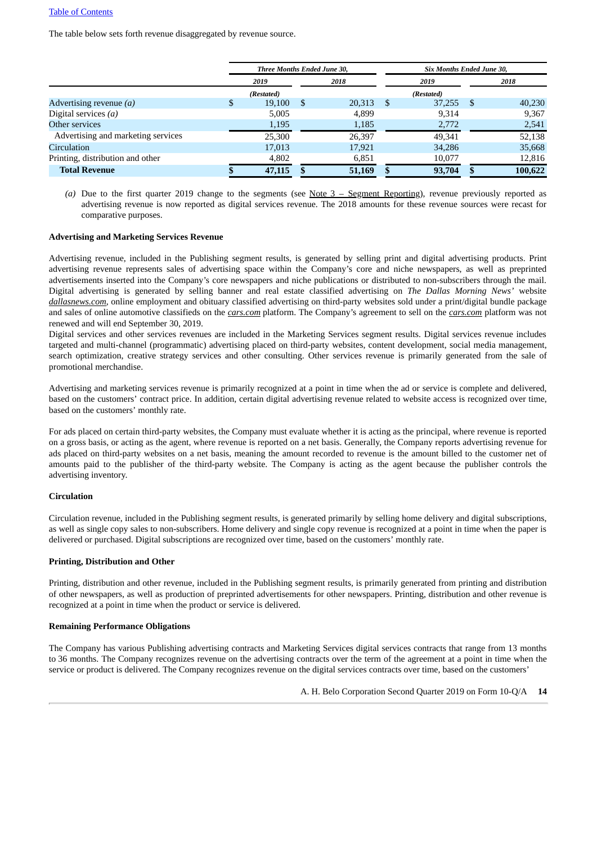The table below sets forth revenue disaggregated by revenue source.

|                                    |      | Three Months Ended June 30, |    |        |     |            |    | Six Months Ended June 30, |  |  |  |
|------------------------------------|------|-----------------------------|----|--------|-----|------------|----|---------------------------|--|--|--|
|                                    | 2019 |                             |    | 2018   |     | 2019       |    | 2018                      |  |  |  |
|                                    |      | (Restated)                  |    |        |     | (Restated) |    |                           |  |  |  |
| Advertising revenue $(a)$          |      | 19,100                      | \$ | 20,313 | - S | 37,255     | -S | 40,230                    |  |  |  |
| Digital services $(a)$             |      | 5,005                       |    | 4,899  |     | 9,314      |    | 9,367                     |  |  |  |
| Other services                     |      | 1,195                       |    | 1,185  |     | 2,772      |    | 2,541                     |  |  |  |
| Advertising and marketing services |      | 25,300                      |    | 26,397 |     | 49,341     |    | 52,138                    |  |  |  |
| Circulation                        |      | 17,013                      |    | 17,921 |     | 34,286     |    | 35,668                    |  |  |  |
| Printing, distribution and other   |      | 4,802                       |    | 6,851  |     | 10,077     |    | 12,816                    |  |  |  |
| <b>Total Revenue</b>               |      | 47,115                      |    | 51,169 |     | 93,704     |    | 100,622                   |  |  |  |

*(a)* Due to the first quarter 2019 change to the segments (see Note 3 – Segment [Reporting\)](#page-10-0), revenue previously reported as advertising revenue is now reported as digital services revenue. The 2018 amounts for these revenue sources were recast for comparative purposes.

#### **Advertising and Marketing Services Revenue**

Advertising revenue, included in the Publishing segment results, is generated by selling print and digital advertising products. Print advertising revenue represents sales of advertising space within the Company's core and niche newspapers, as well as preprinted advertisements inserted into the Company's core newspapers and niche publications or distributed to non-subscribers through the mail. Digital advertising is generated by selling banner and real estate classified advertising on *The Dallas Morning News'* website *dallasnews.com*, online employment and obituary classified advertising on third-party websites sold under a print/digital bundle package and sales of online automotive classifieds on the *cars.com* platform. The Company's agreement to sell on the *cars.com* platform was not renewed and will end September 30, 2019.

Digital services and other services revenues are included in the Marketing Services segment results. Digital services revenue includes targeted and multi-channel (programmatic) advertising placed on third-party websites, content development, social media management, search optimization, creative strategy services and other consulting. Other services revenue is primarily generated from the sale of promotional merchandise.

Advertising and marketing services revenue is primarily recognized at a point in time when the ad or service is complete and delivered, based on the customers' contract price. In addition, certain digital advertising revenue related to website access is recognized over time, based on the customers' monthly rate.

For ads placed on certain third-party websites, the Company must evaluate whether it is acting as the principal, where revenue is reported on a gross basis, or acting as the agent, where revenue is reported on a net basis. Generally, the Company reports advertising revenue for ads placed on third-party websites on a net basis, meaning the amount recorded to revenue is the amount billed to the customer net of amounts paid to the publisher of the third-party website. The Company is acting as the agent because the publisher controls the advertising inventory.

#### **Circulation**

Circulation revenue, included in the Publishing segment results, is generated primarily by selling home delivery and digital subscriptions, as well as single copy sales to non-subscribers. Home delivery and single copy revenue is recognized at a point in time when the paper is delivered or purchased. Digital subscriptions are recognized over time, based on the customers' monthly rate.

#### **Printing, Distribution and Other**

Printing, distribution and other revenue, included in the Publishing segment results, is primarily generated from printing and distribution of other newspapers, as well as production of preprinted advertisements for other newspapers. Printing, distribution and other revenue is recognized at a point in time when the product or service is delivered.

#### **Remaining Performance Obligations**

The Company has various Publishing advertising contracts and Marketing Services digital services contracts that range from 13 months to 36 months. The Company recognizes revenue on the advertising contracts over the term of the agreement at a point in time when the service or product is delivered. The Company recognizes revenue on the digital services contracts over time, based on the customers'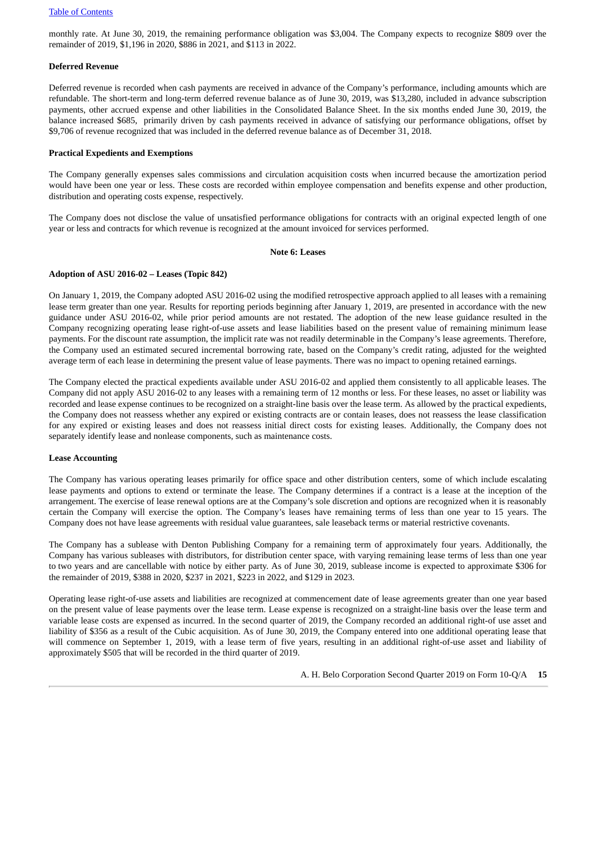monthly rate. At June 30, 2019, the remaining performance obligation was \$3,004. The Company expects to recognize \$809 over the remainder of 2019, \$1,196 in 2020, \$886 in 2021, and \$113 in 2022.

#### **Deferred Revenue**

Deferred revenue is recorded when cash payments are received in advance of the Company's performance, including amounts which are refundable. The short-term and long-term deferred revenue balance as of June 30, 2019, was \$13,280, included in advance subscription payments, other accrued expense and other liabilities in the Consolidated Balance Sheet. In the six months ended June 30, 2019, the balance increased \$685, primarily driven by cash payments received in advance of satisfying our performance obligations, offset by \$9,706 of revenue recognized that was included in the deferred revenue balance as of December 31, 2018.

#### **Practical Expedients and Exemptions**

The Company generally expenses sales commissions and circulation acquisition costs when incurred because the amortization period would have been one year or less. These costs are recorded within employee compensation and benefits expense and other production, distribution and operating costs expense, respectively.

The Company does not disclose the value of unsatisfied performance obligations for contracts with an original expected length of one year or less and contracts for which revenue is recognized at the amount invoiced for services performed.

#### **Note 6: Leases**

#### <span id="page-14-0"></span>**Adoption of ASU 2016-02 – Leases (Topic 842)**

On January 1, 2019, the Company adopted ASU 2016-02 using the modified retrospective approach applied to all leases with a remaining lease term greater than one year. Results for reporting periods beginning after January 1, 2019, are presented in accordance with the new guidance under ASU 2016-02, while prior period amounts are not restated. The adoption of the new lease guidance resulted in the Company recognizing operating lease right-of-use assets and lease liabilities based on the present value of remaining minimum lease payments. For the discount rate assumption, the implicit rate was not readily determinable in the Company's lease agreements. Therefore, the Company used an estimated secured incremental borrowing rate, based on the Company's credit rating, adjusted for the weighted average term of each lease in determining the present value of lease payments. There was no impact to opening retained earnings.

The Company elected the practical expedients available under ASU 2016-02 and applied them consistently to all applicable leases. The Company did not apply ASU 2016-02 to any leases with a remaining term of 12 months or less. For these leases, no asset or liability was recorded and lease expense continues to be recognized on a straight-line basis over the lease term. As allowed by the practical expedients, the Company does not reassess whether any expired or existing contracts are or contain leases, does not reassess the lease classification for any expired or existing leases and does not reassess initial direct costs for existing leases. Additionally, the Company does not separately identify lease and nonlease components, such as maintenance costs.

#### **Lease Accounting**

The Company has various operating leases primarily for office space and other distribution centers, some of which include escalating lease payments and options to extend or terminate the lease. The Company determines if a contract is a lease at the inception of the arrangement. The exercise of lease renewal options are at the Company's sole discretion and options are recognized when it is reasonably certain the Company will exercise the option. The Company's leases have remaining terms of less than one year to 15 years. The Company does not have lease agreements with residual value guarantees, sale leaseback terms or material restrictive covenants.

The Company has a sublease with Denton Publishing Company for a remaining term of approximately four years. Additionally, the Company has various subleases with distributors, for distribution center space, with varying remaining lease terms of less than one year to two years and are cancellable with notice by either party. As of June 30, 2019, sublease income is expected to approximate \$306 for the remainder of 2019, \$388 in 2020, \$237 in 2021, \$223 in 2022, and \$129 in 2023.

Operating lease right-of-use assets and liabilities are recognized at commencement date of lease agreements greater than one year based on the present value of lease payments over the lease term. Lease expense is recognized on a straight-line basis over the lease term and variable lease costs are expensed as incurred. In the second quarter of 2019, the Company recorded an additional right-of use asset and liability of \$356 as a result of the Cubic acquisition. As of June 30, 2019, the Company entered into one additional operating lease that will commence on September 1, 2019, with a lease term of five years, resulting in an additional right-of-use asset and liability of approximately \$505 that will be recorded in the third quarter of 2019.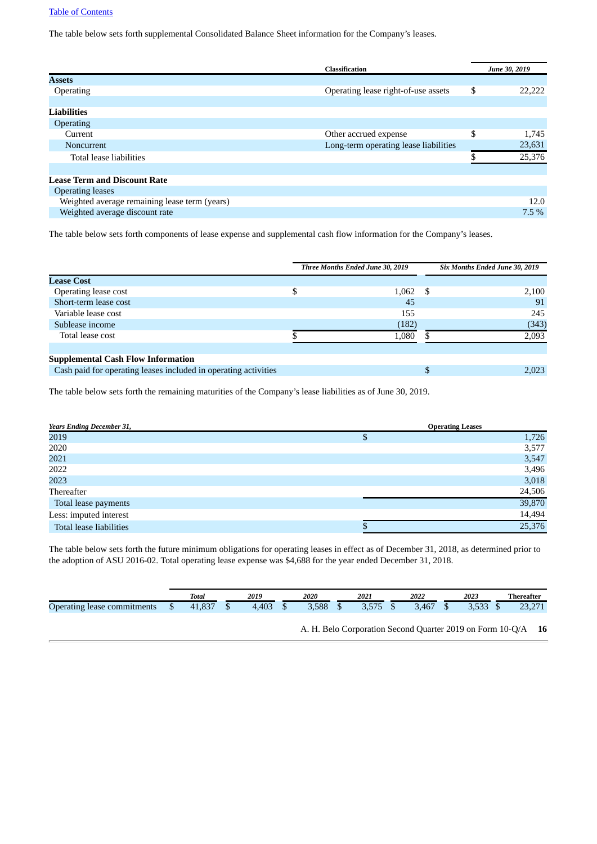The table below sets forth supplemental Consolidated Balance Sheet information for the Company's leases.

|                                               | <b>Classification</b>                 | June 30, 2019 |
|-----------------------------------------------|---------------------------------------|---------------|
| <b>Assets</b>                                 |                                       |               |
| <b>Operating</b>                              | Operating lease right-of-use assets   | \$<br>22,222  |
|                                               |                                       |               |
| <b>Liabilities</b>                            |                                       |               |
| <b>Operating</b>                              |                                       |               |
| Current                                       | Other accrued expense                 | \$<br>1,745   |
| <b>Noncurrent</b>                             | Long-term operating lease liabilities | 23,631        |
| Total lease liabilities                       |                                       | 25,376        |
|                                               |                                       |               |
| <b>Lease Term and Discount Rate</b>           |                                       |               |
| <b>Operating leases</b>                       |                                       |               |
| Weighted average remaining lease term (years) |                                       | 12.0          |
| Weighted average discount rate                |                                       | $7.5\%$       |
|                                               |                                       |               |

The table below sets forth components of lease expense and supplemental cash flow information for the Company's leases.

|                                                                 | Three Months Ended June 30, 2019 | Six Months Ended June 30, 2019 |       |  |  |
|-----------------------------------------------------------------|----------------------------------|--------------------------------|-------|--|--|
| <b>Lease Cost</b>                                               |                                  |                                |       |  |  |
| Operating lease cost                                            | 1,062                            | - S                            | 2,100 |  |  |
| Short-term lease cost                                           | 45                               |                                | 91    |  |  |
| Variable lease cost                                             | 155                              |                                | 245   |  |  |
| Sublease income                                                 | (182)                            |                                | (343) |  |  |
| Total lease cost                                                | 1,080                            |                                | 2,093 |  |  |
|                                                                 |                                  |                                |       |  |  |
| <b>Supplemental Cash Flow Information</b>                       |                                  |                                |       |  |  |
| Cash paid for operating leases included in operating activities |                                  |                                | 2,023 |  |  |
|                                                                 |                                  |                                |       |  |  |

The table below sets forth the remaining maturities of the Company's lease liabilities as of June 30, 2019.

| <b>Years Ending December 31,</b> | <b>Operating Leases</b> |        |  |  |  |  |  |
|----------------------------------|-------------------------|--------|--|--|--|--|--|
| 2019                             | Φ                       | 1,726  |  |  |  |  |  |
| 2020                             |                         | 3,577  |  |  |  |  |  |
| 2021                             |                         | 3,547  |  |  |  |  |  |
| 2022                             |                         | 3,496  |  |  |  |  |  |
| 2023                             |                         | 3,018  |  |  |  |  |  |
| Thereafter                       |                         | 24,506 |  |  |  |  |  |
| Total lease payments             |                         | 39,870 |  |  |  |  |  |
| Less: imputed interest           |                         | 14,494 |  |  |  |  |  |
| Total lease liabilities          |                         | 25,376 |  |  |  |  |  |

The table below sets forth the future minimum obligations for operating leases in effect as of December 31, 2018, as determined prior to the adoption of ASU 2016-02. Total operating lease expense was \$4,688 for the year ended December 31, 2018.

|                                                         |   | Total          |    | 2019  |   | 2020  |    | 2021                       | 2022  | 2023                |    | Thereafter            |
|---------------------------------------------------------|---|----------------|----|-------|---|-------|----|----------------------------|-------|---------------------|----|-----------------------|
| $\overline{\phantom{0}}$<br>Operating lease commitments | ╜ | ാട<br>$-1,00/$ | ٠D | 4,403 | w | 3,588 | ٠D | <b>FRE</b><br><u>J.J/J</u> | 3.467 | $F \cap D$<br>u.uuu | ۰D | 274<br>nn.<br>20,27 I |
|                                                         |   |                |    |       |   |       |    |                            |       |                     |    |                       |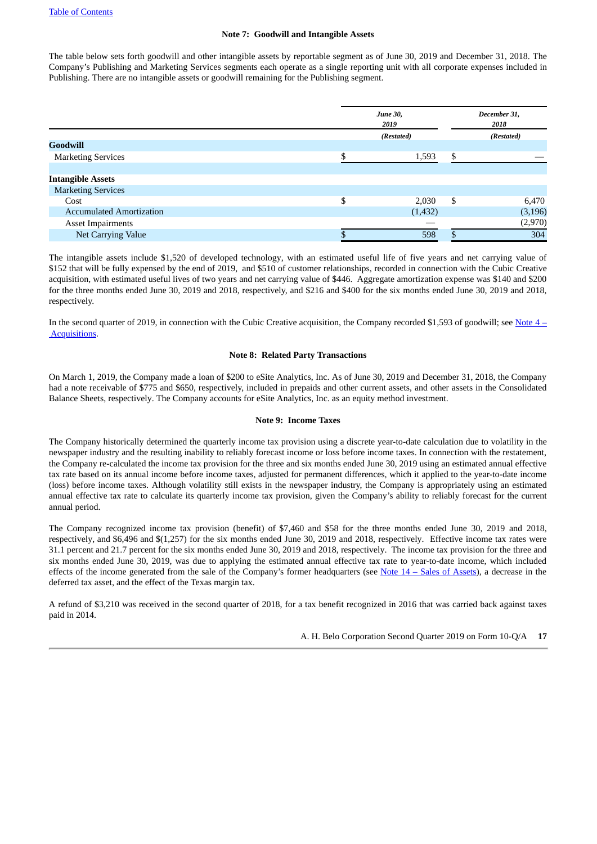#### **Note 7: Goodwill and Intangible Assets**

<span id="page-16-1"></span>The table below sets forth goodwill and other intangible assets by reportable segment as of June 30, 2019 and December 31, 2018. The Company's Publishing and Marketing Services segments each operate as a single reporting unit with all corporate expenses included in Publishing. There are no intangible assets or goodwill remaining for the Publishing segment.

|    |          | December 31,<br>2018                  |          |
|----|----------|---------------------------------------|----------|
|    |          | (Restated)                            |          |
|    |          |                                       |          |
|    | 1,593    | \$                                    |          |
|    |          |                                       |          |
|    |          |                                       |          |
|    |          |                                       |          |
| \$ | 2,030    | -S                                    | 6,470    |
|    | (1, 432) |                                       | (3, 196) |
|    |          |                                       | (2,970)  |
|    | 598      |                                       | 304      |
|    |          | <b>June 30,</b><br>2019<br>(Restated) |          |

The intangible assets include \$1,520 of developed technology, with an estimated useful life of five years and net carrying value of \$152 that will be fully expensed by the end of 2019, and \$510 of customer relationships, recorded in connection with the Cubic Creative acquisition, with estimated useful lives of two years and net carrying value of \$446. Aggregate amortization expense was \$140 and \$200 for the three months ended June 30, 2019 and 2018, respectively, and \$216 and \$400 for the six months ended June 30, 2019 and 2018, respectively.

In the second quarter of 2019, in connection with the Cubic Creative acquisition, the Company recorded \$1,593 of goodwill; see Note 4 – [Acquisitions.](#page-12-0)

#### **Note 8: Related Party Transactions**

On March 1, 2019, the Company made a loan of \$200 to eSite Analytics, Inc. As of June 30, 2019 and December 31, 2018, the Company had a note receivable of \$775 and \$650, respectively, included in prepaids and other current assets, and other assets in the Consolidated Balance Sheets, respectively. The Company accounts for eSite Analytics, Inc. as an equity method investment.

#### **Note 9: Income Taxes**

<span id="page-16-0"></span>The Company historically determined the quarterly income tax provision using a discrete year-to-date calculation due to volatility in the newspaper industry and the resulting inability to reliably forecast income or loss before income taxes. In connection with the restatement, the Company re-calculated the income tax provision for the three and six months ended June 30, 2019 using an estimated annual effective tax rate based on its annual income before income taxes, adjusted for permanent differences, which it applied to the year-to-date income (loss) before income taxes. Although volatility still exists in the newspaper industry, the Company is appropriately using an estimated annual effective tax rate to calculate its quarterly income tax provision, given the Company's ability to reliably forecast for the current annual period.

The Company recognized income tax provision (benefit) of \$7,460 and \$58 for the three months ended June 30, 2019 and 2018, respectively, and \$6,496 and \$(1,257) for the six months ended June 30, 2019 and 2018, respectively. Effective income tax rates were 31.1 percent and 21.7 percent for the six months ended June 30, 2019 and 2018, respectively. The income tax provision for the three and six months ended June 30, 2019, was due to applying the estimated annual effective tax rate to year-to-date income, which included effects of the income generated from the sale of the Company's former headquarters (see Note 14 – Sales of [Assets](#page-19-1)), a decrease in the deferred tax asset, and the effect of the Texas margin tax.

A refund of \$3,210 was received in the second quarter of 2018, for a tax benefit recognized in 2016 that was carried back against taxes paid in 2014.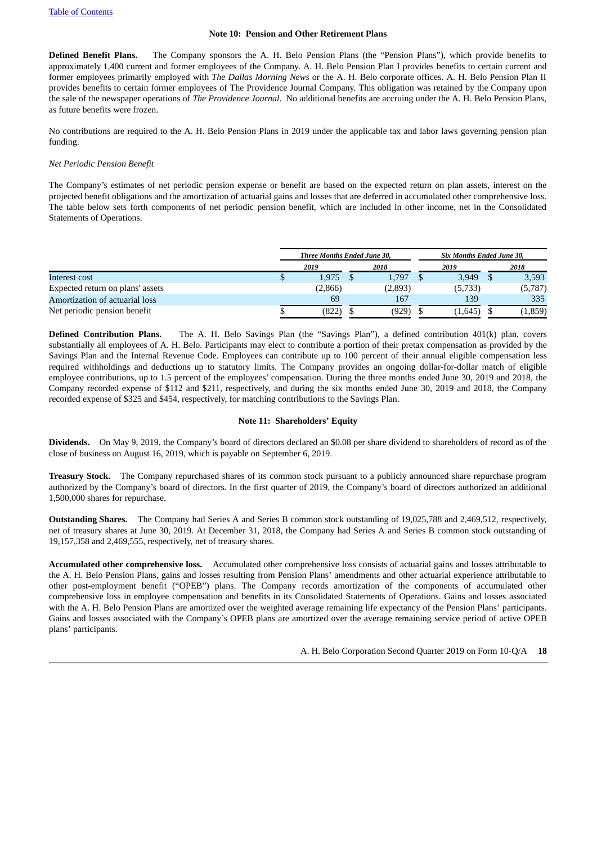#### **Note 10: Pension and Other Retirement Plans**

**Defined Benefit Plans.** The Company sponsors the A. H. Belo Pension Plans (the "Pension Plans"), which provide benefits to approximately 1,400 current and former employees of the Company. A. H. Belo Pension Plan I provides benefits to certain current and former employees primarily employed with *The Dallas Morning News* or the A. H. Belo corporate offices. A. H. Belo Pension Plan II provides benefits to certain former employees of The Providence Journal Company. This obligation was retained by the Company upon the sale of the newspaper operations of *The Providence Journal*. No additional benefits are accruing under the A. H. Belo Pension Plans, as future benefits were frozen.

No contributions are required to the A. H. Belo Pension Plans in 2019 under the applicable tax and labor laws governing pension plan funding.

#### *Net Periodic Pension Benefit*

The Company's estimates of net periodic pension expense or benefit are based on the expected return on plan assets, interest on the projected benefit obligations and the amortization of actuarial gains and losses that are deferred in accumulated other comprehensive loss. The table below sets forth components of net periodic pension benefit, which are included in other income, net in the Consolidated Statements of Operations.

|                                  |      |         |  | Three Months Ended June 30, |  | Six Months Ended June 30, |  |          |  |  |  |  |
|----------------------------------|------|---------|--|-----------------------------|--|---------------------------|--|----------|--|--|--|--|
|                                  | 2019 |         |  | 2018                        |  | 2019                      |  | 2018     |  |  |  |  |
| Interest cost                    |      | 1.975   |  | 1,797                       |  | 3,949                     |  | 3,593    |  |  |  |  |
| Expected return on plans' assets |      | (2,866) |  | (2,893)                     |  | (5,733)                   |  | (5,787)  |  |  |  |  |
| Amortization of actuarial loss   |      | 69      |  | 167                         |  | 139                       |  | 335      |  |  |  |  |
| Net periodic pension benefit     |      | (822)   |  | (929)                       |  | (1,645)                   |  | (1, 859) |  |  |  |  |

**Defined Contribution Plans.** The A. H. Belo Savings Plan (the "Savings Plan"), a defined contribution 401(k) plan, covers substantially all employees of A. H. Belo. Participants may elect to contribute a portion of their pretax compensation as provided by the Savings Plan and the Internal Revenue Code. Employees can contribute up to 100 percent of their annual eligible compensation less required withholdings and deductions up to statutory limits. The Company provides an ongoing dollar-for-dollar match of eligible employee contributions, up to 1.5 percent of the employees' compensation. During the three months ended June 30, 2019 and 2018, the Company recorded expense of \$112 and \$211, respectively, and during the six months ended June 30, 2019 and 2018, the Company recorded expense of \$325 and \$454, respectively, for matching contributions to the Savings Plan.

#### **Note 11: Shareholders' Equity**

**Dividends.** On May 9, 2019, the Company's board of directors declared an \$0.08 per share dividend to shareholders of record as of the close of business on August 16, 2019, which is payable on September 6, 2019.

**Treasury Stock.** The Company repurchased shares of its common stock pursuant to a publicly announced share repurchase program authorized by the Company's board of directors. In the first quarter of 2019, the Company's board of directors authorized an additional 1,500,000 shares for repurchase.

**Outstanding Shares.** The Company had Series A and Series B common stock outstanding of 19,025,788 and 2,469,512, respectively, net of treasury shares at June 30, 2019. At December 31, 2018, the Company had Series A and Series B common stock outstanding of 19,157,358 and 2,469,555, respectively, net of treasury shares.

**Accumulated other comprehensive loss.** Accumulated other comprehensive loss consists of actuarial gains and losses attributable to the A. H. Belo Pension Plans, gains and losses resulting from Pension Plans' amendments and other actuarial experience attributable to other post-employment benefit ("OPEB") plans. The Company records amortization of the components of accumulated other comprehensive loss in employee compensation and benefits in its Consolidated Statements of Operations. Gains and losses associated with the A. H. Belo Pension Plans are amortized over the weighted average remaining life expectancy of the Pension Plans' participants. Gains and losses associated with the Company's OPEB plans are amortized over the average remaining service period of active OPEB plans' participants.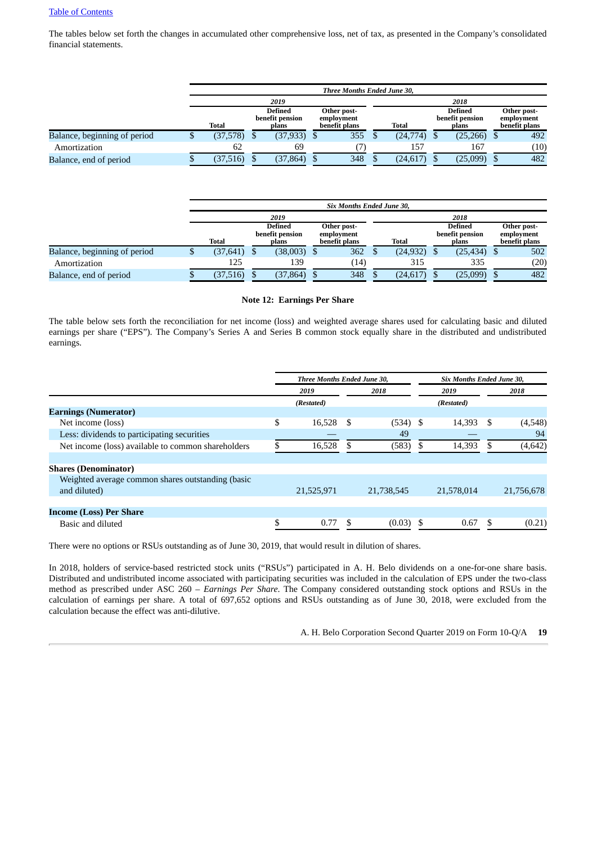The tables below set forth the changes in accumulated other comprehensive loss, net of tax, as presented in the Company's consolidated financial statements.

|                              | Three Months Ended June 30, |  |                                            |  |                                            |  |           |                                            |          |  |                                            |  |
|------------------------------|-----------------------------|--|--------------------------------------------|--|--------------------------------------------|--|-----------|--------------------------------------------|----------|--|--------------------------------------------|--|
|                              | 2019                        |  |                                            |  |                                            |  |           |                                            | 2018     |  |                                            |  |
|                              | <b>Total</b>                |  | <b>Defined</b><br>benefit pension<br>plans |  | Other post-<br>employment<br>benefit plans |  | Total     | <b>Defined</b><br>benefit pension<br>plans |          |  | Other post-<br>employment<br>benefit plans |  |
| Balance, beginning of period | $(37,578)$ \$               |  | $(37,933)$ \$                              |  | 355                                        |  | (24,774)  |                                            | (25,266) |  | 492                                        |  |
| Amortization                 | 62                          |  | 69                                         |  |                                            |  | 157       |                                            | 167      |  | (10)                                       |  |
| Balance, end of period       | (37,516)                    |  | (37, 864)                                  |  | 348                                        |  | (24, 617) |                                            | (25,099) |  | 482                                        |  |

|                              |              |                                     | <b>Six Months Ended June 30.</b>           |           |                                            |                                            |
|------------------------------|--------------|-------------------------------------|--------------------------------------------|-----------|--------------------------------------------|--------------------------------------------|
|                              |              | 2019                                |                                            |           | 2018                                       |                                            |
|                              | <b>Total</b> | Defined<br>benefit pension<br>plans | Other post-<br>employment<br>benefit plans | Total     | <b>Defined</b><br>benefit pension<br>plans | Other post-<br>employment<br>benefit plans |
| Balance, beginning of period | (37, 641)    | $(38,003)$ \$                       | 362                                        | (24, 932) | $(25, 434)$ \$                             | 502                                        |
| Amortization                 | 125          | 139                                 | (14)                                       | 315       | 335                                        | (20)                                       |
| Balance, end of period       | (37, 516)    | (37, 864)                           | 348                                        | (24, 617) | (25,099)                                   | 482                                        |

#### **Note 12: Earnings Per Share**

The table below sets forth the reconciliation for net income (loss) and weighted average shares used for calculating basic and diluted earnings per share ("EPS"). The Company's Series A and Series B common stock equally share in the distributed and undistributed earnings.

|                                                                   | Three Months Ended June 30, |     |            |      | Six Months Ended June 30, |   |            |
|-------------------------------------------------------------------|-----------------------------|-----|------------|------|---------------------------|---|------------|
|                                                                   | 2019                        |     | 2018       |      | 2019                      |   | 2018       |
|                                                                   | (Restated)                  |     |            |      | (Restated)                |   |            |
| <b>Earnings (Numerator)</b>                                       |                             |     |            |      |                           |   |            |
| Net income (loss)                                                 | \$<br>16,528                | \$. | $(534)$ \$ |      | 14,393                    |   | (4,548)    |
| Less: dividends to participating securities                       |                             |     | 49         |      |                           |   | 94         |
| Net income (loss) available to common shareholders                | 16,528                      |     | (583)      | - \$ | 14,393                    |   | (4, 642)   |
|                                                                   |                             |     |            |      |                           |   |            |
| <b>Shares (Denominator)</b>                                       |                             |     |            |      |                           |   |            |
| Weighted average common shares outstanding (basic<br>and diluted) | 21,525,971                  |     | 21,738,545 |      | 21,578,014                |   | 21,756,678 |
|                                                                   |                             |     |            |      |                           |   |            |
| <b>Income (Loss) Per Share</b>                                    |                             |     |            |      |                           |   |            |
| Basic and diluted                                                 | \$<br>0.77                  | S   | (0.03)     |      | 0.67                      | S | (0.21)     |

There were no options or RSUs outstanding as of June 30, 2019, that would result in dilution of shares.

In 2018, holders of service-based restricted stock units ("RSUs") participated in A. H. Belo dividends on a one-for-one share basis. Distributed and undistributed income associated with participating securities was included in the calculation of EPS under the two-class method as prescribed under ASC 260 – *Earnings Per Share*. The Company considered outstanding stock options and RSUs in the calculation of earnings per share. A total of 697,652 options and RSUs outstanding as of June 30, 2018, were excluded from the calculation because the effect was anti-dilutive.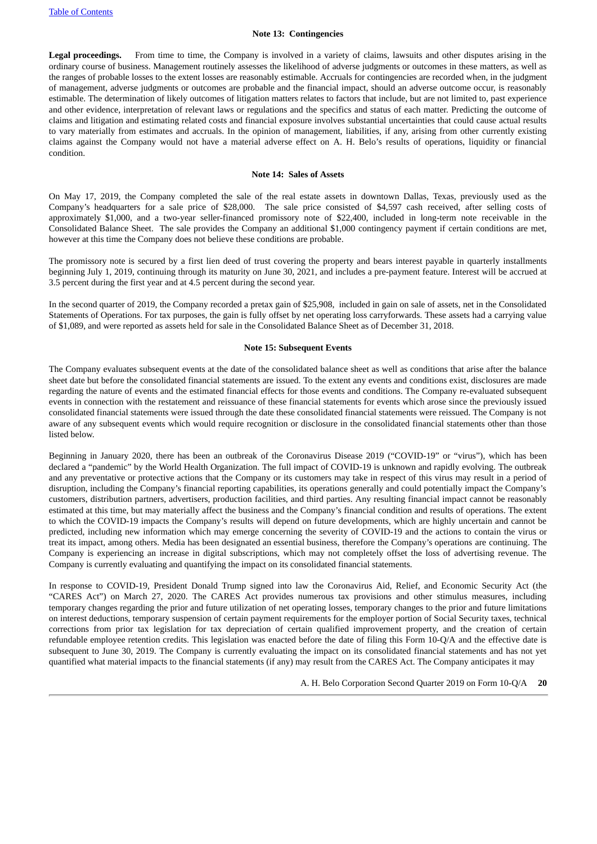#### **Note 13: Contingencies**

**Legal proceedings.** From time to time, the Company is involved in a variety of claims, lawsuits and other disputes arising in the ordinary course of business. Management routinely assesses the likelihood of adverse judgments or outcomes in these matters, as well as the ranges of probable losses to the extent losses are reasonably estimable. Accruals for contingencies are recorded when, in the judgment of management, adverse judgments or outcomes are probable and the financial impact, should an adverse outcome occur, is reasonably estimable. The determination of likely outcomes of litigation matters relates to factors that include, but are not limited to, past experience and other evidence, interpretation of relevant laws or regulations and the specifics and status of each matter. Predicting the outcome of claims and litigation and estimating related costs and financial exposure involves substantial uncertainties that could cause actual results to vary materially from estimates and accruals. In the opinion of management, liabilities, if any, arising from other currently existing claims against the Company would not have a material adverse effect on A. H. Belo's results of operations, liquidity or financial condition.

#### **Note 14: Sales of Assets**

<span id="page-19-1"></span>On May 17, 2019, the Company completed the sale of the real estate assets in downtown Dallas, Texas, previously used as the Company's headquarters for a sale price of \$28,000. The sale price consisted of \$4,597 cash received, after selling costs of approximately \$1,000, and a two-year seller-financed promissory note of \$22,400, included in long-term note receivable in the Consolidated Balance Sheet. The sale provides the Company an additional \$1,000 contingency payment if certain conditions are met, however at this time the Company does not believe these conditions are probable.

The promissory note is secured by a first lien deed of trust covering the property and bears interest payable in quarterly installments beginning July 1, 2019, continuing through its maturity on June 30, 2021, and includes a pre-payment feature. Interest will be accrued at 3.5 percent during the first year and at 4.5 percent during the second year.

In the second quarter of 2019, the Company recorded a pretax gain of \$25,908, included in gain on sale of assets, net in the Consolidated Statements of Operations. For tax purposes, the gain is fully offset by net operating loss carryforwards. These assets had a carrying value of \$1,089, and were reported as assets held for sale in the Consolidated Balance Sheet as of December 31, 2018.

#### **Note 15: Subsequent Events**

<span id="page-19-0"></span>The Company evaluates subsequent events at the date of the consolidated balance sheet as well as conditions that arise after the balance sheet date but before the consolidated financial statements are issued. To the extent any events and conditions exist, disclosures are made regarding the nature of events and the estimated financial effects for those events and conditions. The Company re-evaluated subsequent events in connection with the restatement and reissuance of these financial statements for events which arose since the previously issued consolidated financial statements were issued through the date these consolidated financial statements were reissued. The Company is not aware of any subsequent events which would require recognition or disclosure in the consolidated financial statements other than those listed below.

Beginning in January 2020, there has been an outbreak of the Coronavirus Disease 2019 ("COVID-19" or "virus"), which has been declared a "pandemic" by the World Health Organization. The full impact of COVID-19 is unknown and rapidly evolving. The outbreak and any preventative or protective actions that the Company or its customers may take in respect of this virus may result in a period of disruption, including the Company's financial reporting capabilities, its operations generally and could potentially impact the Company's customers, distribution partners, advertisers, production facilities, and third parties. Any resulting financial impact cannot be reasonably estimated at this time, but may materially affect the business and the Company's financial condition and results of operations. The extent to which the COVID-19 impacts the Company's results will depend on future developments, which are highly uncertain and cannot be predicted, including new information which may emerge concerning the severity of COVID-19 and the actions to contain the virus or treat its impact, among others. Media has been designated an essential business, therefore the Company's operations are continuing. The Company is experiencing an increase in digital subscriptions, which may not completely offset the loss of advertising revenue. The Company is currently evaluating and quantifying the impact on its consolidated financial statements.

In response to COVID-19, President Donald Trump signed into law the Coronavirus Aid, Relief, and Economic Security Act (the "CARES Act") on March 27, 2020. The CARES Act provides numerous tax provisions and other stimulus measures, including temporary changes regarding the prior and future utilization of net operating losses, temporary changes to the prior and future limitations on interest deductions, temporary suspension of certain payment requirements for the employer portion of Social Security taxes, technical corrections from prior tax legislation for tax depreciation of certain qualified improvement property, and the creation of certain refundable employee retention credits. This legislation was enacted before the date of filing this Form 10-Q/A and the effective date is subsequent to June 30, 2019. The Company is currently evaluating the impact on its consolidated financial statements and has not yet quantified what material impacts to the financial statements (if any) may result from the CARES Act. The Company anticipates it may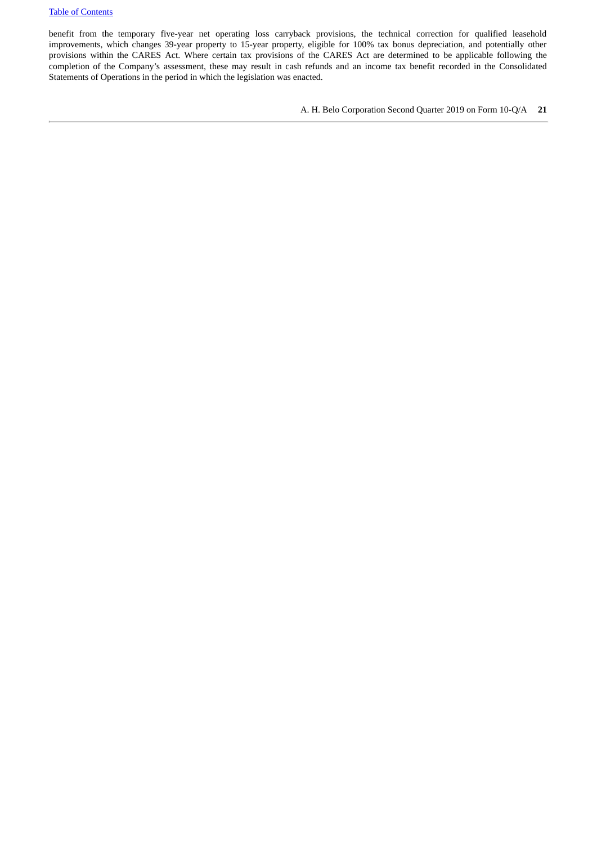benefit from the temporary five-year net operating loss carryback provisions, the technical correction for qualified leasehold improvements, which changes 39-year property to 15-year property, eligible for 100% tax bonus depreciation, and potentially other provisions within the CARES Act. Where certain tax provisions of the CARES Act are determined to be applicable following the completion of the Company's assessment, these may result in cash refunds and an income tax benefit recorded in the Consolidated Statements of Operations in the period in which the legislation was enacted.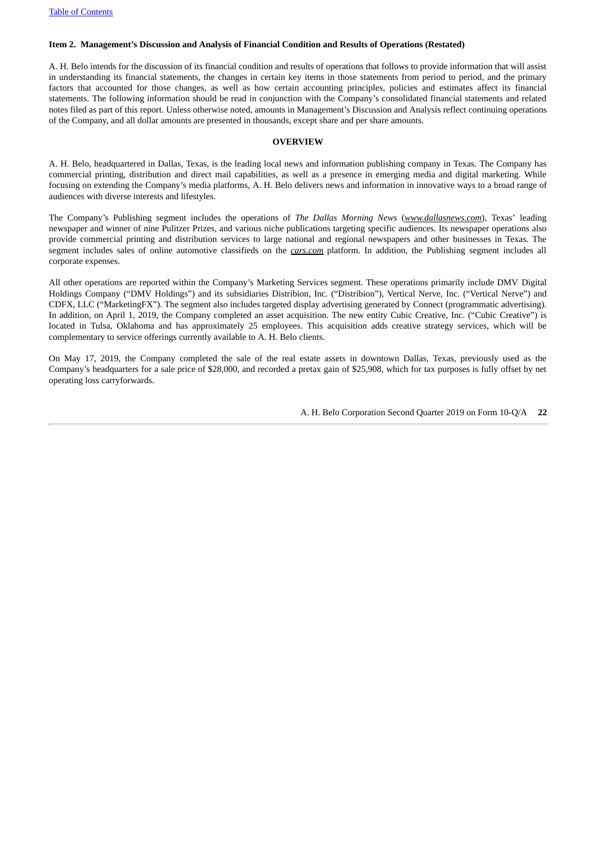#### <span id="page-21-0"></span>**Item 2. Management's Discussion and Analysis of Financial Condition and Results of Operations (Restated)**

A. H. Belo intends for the discussion of its financial condition and results of operations that follows to provide information that will assist in understanding its financial statements, the changes in certain key items in those statements from period to period, and the primary factors that accounted for those changes, as well as how certain accounting principles, policies and estimates affect its financial statements. The following information should be read in conjunction with the Company's consolidated financial statements and related notes filed as part of this report. Unless otherwise noted, amounts in Management's Discussion and Analysis reflect continuing operations of the Company, and all dollar amounts are presented in thousands, except share and per share amounts.

#### **OVERVIEW**

A. H. Belo, headquartered in Dallas, Texas, is the leading local news and information publishing company in Texas. The Company has commercial printing, distribution and direct mail capabilities, as well as a presence in emerging media and digital marketing. While focusing on extending the Company's media platforms, A. H. Belo delivers news and information in innovative ways to a broad range of audiences with diverse interests and lifestyles.

The Company's Publishing segment includes the operations of *The Dallas Morning News* (*www.dallasnews.com*), Texas' leading newspaper and winner of nine Pulitzer Prizes, and various niche publications targeting specific audiences. Its newspaper operations also provide commercial printing and distribution services to large national and regional newspapers and other businesses in Texas. The segment includes sales of online automotive classifieds on the *cars.com* platform. In addition, the Publishing segment includes all corporate expenses.

All other operations are reported within the Company's Marketing Services segment. These operations primarily include DMV Digital Holdings Company ("DMV Holdings") and its subsidiaries Distribion, Inc. ("Distribion"), Vertical Nerve, Inc. ("Vertical Nerve") and CDFX, LLC ("MarketingFX"). The segment also includes targeted display advertising generated by Connect (programmatic advertising). In addition, on April 1, 2019, the Company completed an asset acquisition. The new entity Cubic Creative, Inc. ("Cubic Creative") is located in Tulsa, Oklahoma and has approximately 25 employees. This acquisition adds creative strategy services, which will be complementary to service offerings currently available to A. H. Belo clients.

On May 17, 2019, the Company completed the sale of the real estate assets in downtown Dallas, Texas, previously used as the Company's headquarters for a sale price of \$28,000, and recorded a pretax gain of \$25,908, which for tax purposes is fully offset by net operating loss carryforwards.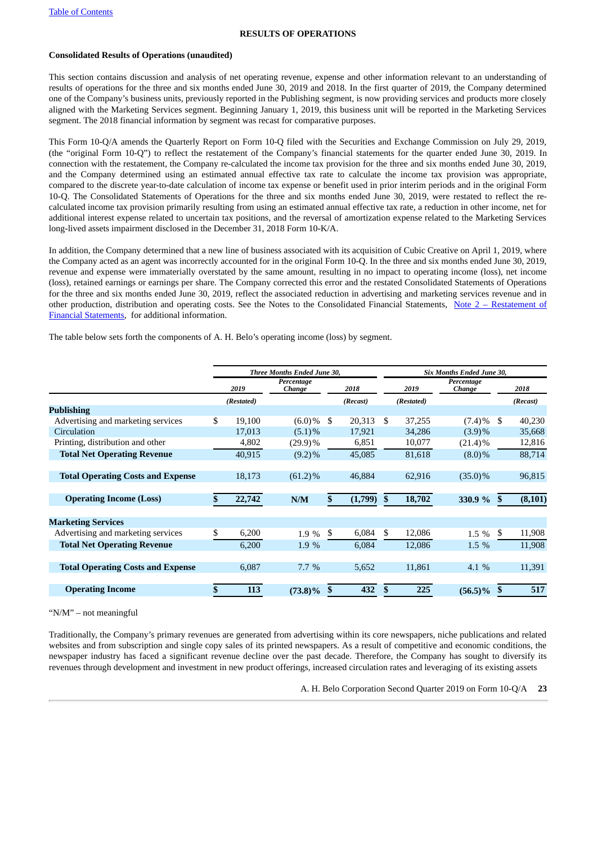#### **RESULTS OF OPERATIONS**

#### **Consolidated Results of Operations (unaudited)**

This section contains discussion and analysis of net operating revenue, expense and other information relevant to an understanding of results of operations for the three and six months ended June 30, 2019 and 2018. In the first quarter of 2019, the Company determined one of the Company's business units, previously reported in the Publishing segment, is now providing services and products more closely aligned with the Marketing Services segment. Beginning January 1, 2019, this business unit will be reported in the Marketing Services segment. The 2018 financial information by segment was recast for comparative purposes.

This Form 10-Q/A amends the Quarterly Report on Form 10-Q filed with the Securities and Exchange Commission on July 29, 2019, (the "original Form 10-Q") to reflect the restatement of the Company's financial statements for the quarter ended June 30, 2019. In connection with the restatement, the Company re-calculated the income tax provision for the three and six months ended June 30, 2019, and the Company determined using an estimated annual effective tax rate to calculate the income tax provision was appropriate, compared to the discrete year-to-date calculation of income tax expense or benefit used in prior interim periods and in the original Form 10-Q. The Consolidated Statements of Operations for the three and six months ended June 30, 2019, were restated to reflect the recalculated income tax provision primarily resulting from using an estimated annual effective tax rate, a reduction in other income, net for additional interest expense related to uncertain tax positions, and the reversal of amortization expense related to the Marketing Services long-lived assets impairment disclosed in the December 31, 2018 Form 10-K/A.

In addition, the Company determined that a new line of business associated with its acquisition of Cubic Creative on April 1, 2019, where the Company acted as an agent was incorrectly accounted for in the original Form 10-Q. In the three and six months ended June 30, 2019, revenue and expense were immaterially overstated by the same amount, resulting in no impact to operating income (loss), net income (loss), retained earnings or earnings per share. The Company corrected this error and the restated Consolidated Statements of Operations for the three and six months ended June 30, 2019, reflect the associated reduction in advertising and marketing services revenue and in other production, distribution and operating costs. See the Notes to the [Consolidated](#page-9-0) Financial Statements, Note 2 – Restatement of Financial Statements, for additional information.

The table below sets forth the components of A. H. Belo's operating income (loss) by segment.

|                                          |     |            | Three Months Ended June 30, |    |          |     |            | Six Months Ended June 30, |     |          |
|------------------------------------------|-----|------------|-----------------------------|----|----------|-----|------------|---------------------------|-----|----------|
|                                          |     | 2019       | Percentage<br>Change        |    | 2018     |     | 2019       | Percentage<br>Change      |     | 2018     |
|                                          |     | (Restated) |                             |    | (Recast) |     | (Restated) |                           |     | (Recast) |
| <b>Publishing</b>                        |     |            |                             |    |          |     |            |                           |     |          |
| Advertising and marketing services       | \$. | 19,100     | $(6.0)\%$                   | \$ | 20,313   | \$. | 37,255     | $(7.4)\%$                 | -\$ | 40,230   |
| Circulation                              |     | 17,013     | $(5.1)\%$                   |    | 17,921   |     | 34,286     | (3.9)%                    |     | 35,668   |
| Printing, distribution and other         |     | 4,802      | $(29.9)\%$                  |    | 6,851    |     | 10,077     | $(21.4)\%$                |     | 12,816   |
| <b>Total Net Operating Revenue</b>       |     | 40,915     | $(9.2)\%$                   |    | 45,085   |     | 81,618     | $(8.0)\%$                 |     | 88,714   |
|                                          |     |            |                             |    |          |     |            |                           |     |          |
| <b>Total Operating Costs and Expense</b> |     | 18,173     | $(61.2)\%$                  |    | 46,884   |     | 62,916     | $(35.0)\%$                |     | 96,815   |
|                                          |     |            |                             |    |          |     |            |                           |     |          |
| <b>Operating Income (Loss)</b>           |     | 22,742     | N/M                         |    | (1,799)  | \$  | 18,702     | 330.9 %                   |     | (8, 101) |
| <b>Marketing Services</b>                |     |            |                             |    |          |     |            |                           |     |          |
| Advertising and marketing services       | \$  | 6,200      | 1.9 %                       | S  | 6,084    | \$. | 12,086     | 1.5 %                     | \$  | 11,908   |
| <b>Total Net Operating Revenue</b>       |     | 6,200      | 1.9 %                       |    | 6,084    |     | 12,086     | 1.5 %                     |     | 11,908   |
|                                          |     |            |                             |    |          |     |            |                           |     |          |
| <b>Total Operating Costs and Expense</b> |     | 6,087      | $7.7\%$                     |    | 5,652    |     | 11,861     | 4.1 %                     |     | 11,391   |
|                                          |     |            |                             |    |          |     |            |                           |     |          |
| <b>Operating Income</b>                  |     | 113        | $(73.8)\%$                  |    | 432      | \$  | 225        | $(56.5)\%$                | \$  | 517      |

#### "N/M" – not meaningful

Traditionally, the Company's primary revenues are generated from advertising within its core newspapers, niche publications and related websites and from subscription and single copy sales of its printed newspapers. As a result of competitive and economic conditions, the newspaper industry has faced a significant revenue decline over the past decade. Therefore, the Company has sought to diversify its revenues through development and investment in new product offerings, increased circulation rates and leveraging of its existing assets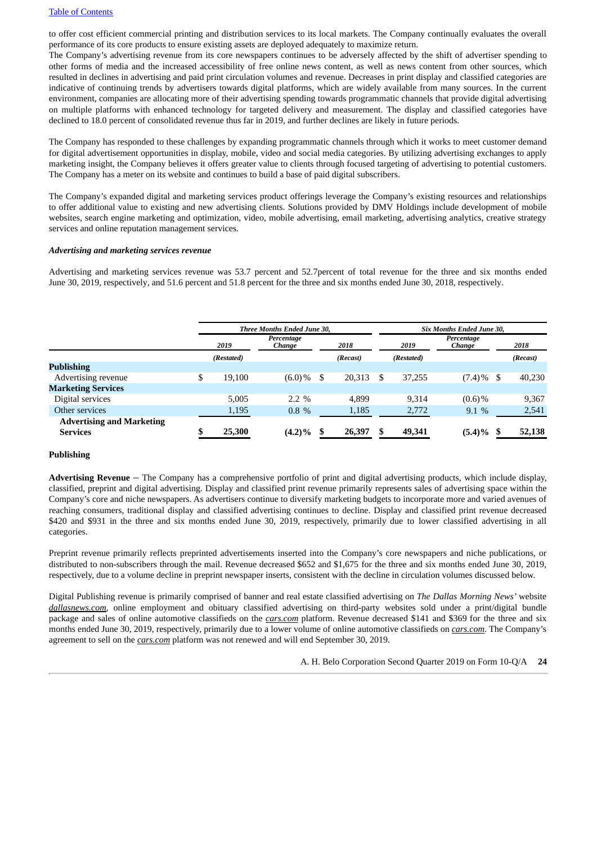to offer cost efficient commercial printing and distribution services to its local markets. The Company continually evaluates the overall performance of its core products to ensure existing assets are deployed adequately to maximize return.

The Company's advertising revenue from its core newspapers continues to be adversely affected by the shift of advertiser spending to other forms of media and the increased accessibility of free online news content, as well as news content from other sources, which resulted in declines in advertising and paid print circulation volumes and revenue. Decreases in print display and classified categories are indicative of continuing trends by advertisers towards digital platforms, which are widely available from many sources. In the current environment, companies are allocating more of their advertising spending towards programmatic channels that provide digital advertising on multiple platforms with enhanced technology for targeted delivery and measurement. The display and classified categories have declined to 18.0 percent of consolidated revenue thus far in 2019, and further declines are likely in future periods.

The Company has responded to these challenges by expanding programmatic channels through which it works to meet customer demand for digital advertisement opportunities in display, mobile, video and social media categories. By utilizing advertising exchanges to apply marketing insight, the Company believes it offers greater value to clients through focused targeting of advertising to potential customers. The Company has a meter on its website and continues to build a base of paid digital subscribers.

The Company's expanded digital and marketing services product offerings leverage the Company's existing resources and relationships to offer additional value to existing and new advertising clients. Solutions provided by DMV Holdings include development of mobile websites, search engine marketing and optimization, video, mobile advertising, email marketing, advertising analytics, creative strategy services and online reputation management services.

#### *Advertising and marketing services revenue*

Advertising and marketing services revenue was 53.7 percent and 52.7percent of total revenue for the three and six months ended June 30, 2019, respectively, and 51.6 percent and 51.8 percent for the three and six months ended June 30, 2018, respectively.

|                                                     |              | Three Months Ended June 30, |      |          | Six Months Ended June 30, |                      |  |          |  |  |
|-----------------------------------------------------|--------------|-----------------------------|------|----------|---------------------------|----------------------|--|----------|--|--|
|                                                     | 2019         | Percentage<br>Change        | 2018 |          | 2019                      | Percentage<br>Change |  | 2018     |  |  |
|                                                     | (Restated)   |                             |      | (Recast) | (Restated)                |                      |  | (Recast) |  |  |
| <b>Publishing</b>                                   |              |                             |      |          |                           |                      |  |          |  |  |
| Advertising revenue                                 | \$<br>19.100 | $(6.0)\%$                   | S    | 20,313   | \$<br>37.255              | $(7.4)\%$ \$         |  | 40,230   |  |  |
| <b>Marketing Services</b>                           |              |                             |      |          |                           |                      |  |          |  |  |
| Digital services                                    | 5.005        | $2.2 \%$                    |      | 4.899    | 9,314                     | $(0.6)$ %            |  | 9,367    |  |  |
| Other services                                      | 1,195        | $0.8 \%$                    |      | 1,185    | 2,772                     | 9.1%                 |  | 2,541    |  |  |
| <b>Advertising and Marketing</b><br><b>Services</b> | 25,300       | $(4.2)\%$                   |      | 26,397   | 49,341                    | $(5.4)\%$            |  | 52,138   |  |  |

#### **Publishing**

**Advertising Revenue** – The Company has a comprehensive portfolio of print and digital advertising products, which include display, classified, preprint and digital advertising. Display and classified print revenue primarily represents sales of advertising space within the Company's core and niche newspapers. As advertisers continue to diversify marketing budgets to incorporate more and varied avenues of reaching consumers, traditional display and classified advertising continues to decline. Display and classified print revenue decreased \$420 and \$931 in the three and six months ended June 30, 2019, respectively, primarily due to lower classified advertising in all categories.

Preprint revenue primarily reflects preprinted advertisements inserted into the Company's core newspapers and niche publications, or distributed to non-subscribers through the mail. Revenue decreased \$652 and \$1,675 for the three and six months ended June 30, 2019, respectively, due to a volume decline in preprint newspaper inserts, consistent with the decline in circulation volumes discussed below.

Digital Publishing revenue is primarily comprised of banner and real estate classified advertising on *The Dallas Morning News'* website *dallasnews.com*, online employment and obituary classified advertising on third-party websites sold under a print/digital bundle package and sales of online automotive classifieds on the *cars.com* platform. Revenue decreased \$141 and \$369 for the three and six months ended June 30, 2019, respectively, primarily due to a lower volume of online automotive classifieds on *cars.com*. The Company's agreement to sell on the *cars.com* platform was not renewed and will end September 30, 2019.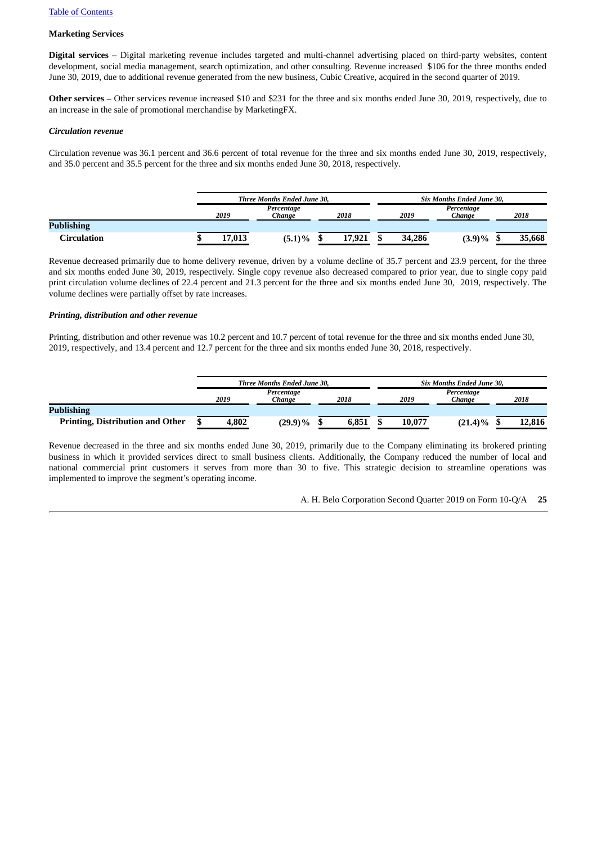#### **Marketing Services**

**Digital services –** Digital marketing revenue includes targeted and multi-channel advertising placed on third-party websites, content development, social media management, search optimization, and other consulting. Revenue increased \$106 for the three months ended June 30, 2019, due to additional revenue generated from the new business, Cubic Creative, acquired in the second quarter of 2019.

**Other services** – Other services revenue increased \$10 and \$231 for the three and six months ended June 30, 2019, respectively, due to an increase in the sale of promotional merchandise by MarketingFX.

#### *Circulation revenue*

Circulation revenue was 36.1 percent and 36.6 percent of total revenue for the three and six months ended June 30, 2019, respectively, and 35.0 percent and 35.5 percent for the three and six months ended June 30, 2018, respectively.

|                   |        | <b>Three Months Ended June 30.</b> |        | <b>Six Months Ended June 30.</b> |                      |  |        |  |  |
|-------------------|--------|------------------------------------|--------|----------------------------------|----------------------|--|--------|--|--|
|                   | 2019   | Percentage<br>Chanae               | 2018   | 2019                             | Percentage<br>Chanae |  | 2018   |  |  |
| <b>Publishing</b> |        |                                    |        |                                  |                      |  |        |  |  |
| Circulation       | 17,013 | $(5.1)\%$                          | 17,921 | 34,286                           | $(3.9)\%$            |  | 35,668 |  |  |

Revenue decreased primarily due to home delivery revenue, driven by a volume decline of 35.7 percent and 23.9 percent, for the three and six months ended June 30, 2019, respectively. Single copy revenue also decreased compared to prior year, due to single copy paid print circulation volume declines of 22.4 percent and 21.3 percent for the three and six months ended June 30, 2019, respectively. The volume declines were partially offset by rate increases.

#### *Printing, distribution and other revenue*

Printing, distribution and other revenue was 10.2 percent and 10.7 percent of total revenue for the three and six months ended June 30, 2019, respectively, and 13.4 percent and 12.7 percent for the three and six months ended June 30, 2018, respectively.

|                                         |       | <b>Three Months Ended June 30.</b> |       |        | <b>Six Months Ended June 30.</b> |        |  |  |  |  |
|-----------------------------------------|-------|------------------------------------|-------|--------|----------------------------------|--------|--|--|--|--|
|                                         |       | Percentage                         |       |        | Percentage                       |        |  |  |  |  |
|                                         | 2019  | Chanae                             | 2018  | 2019   | Chanae                           | 2018   |  |  |  |  |
| <b>Publishing</b>                       |       |                                    |       |        |                                  |        |  |  |  |  |
| <b>Printing, Distribution and Other</b> | 4.802 | (29.9)%                            | 6,851 | 10,077 | $(21.4)\%$                       | 12,816 |  |  |  |  |

Revenue decreased in the three and six months ended June 30, 2019, primarily due to the Company eliminating its brokered printing business in which it provided services direct to small business clients. Additionally, the Company reduced the number of local and national commercial print customers it serves from more than 30 to five. This strategic decision to streamline operations was implemented to improve the segment's operating income.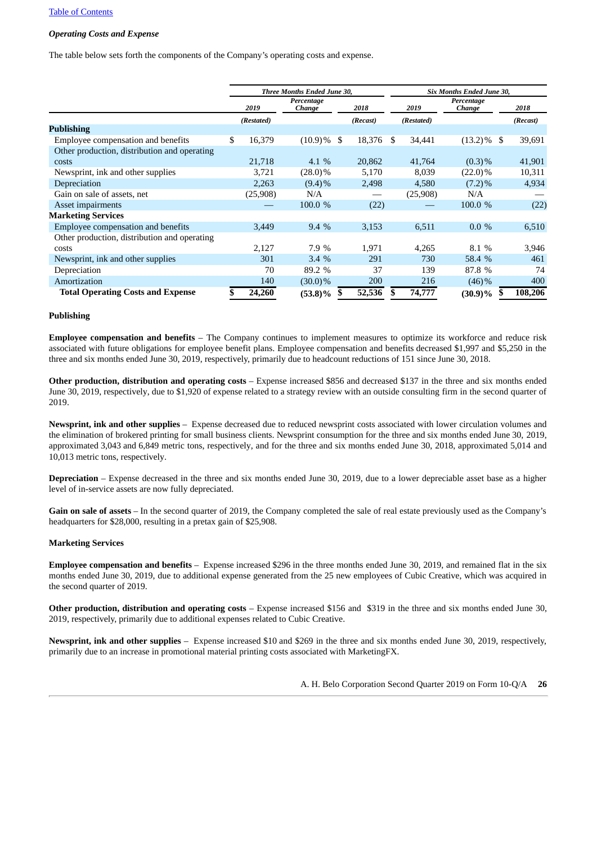#### *Operating Costs and Expense*

The table below sets forth the components of the Company's operating costs and expense.

|                                              | Three Months Ended June 30, |            |                      |    |          |    | Six Months Ended June 30, |                      |  |          |  |  |
|----------------------------------------------|-----------------------------|------------|----------------------|----|----------|----|---------------------------|----------------------|--|----------|--|--|
|                                              |                             | 2019       | Percentage<br>Change |    | 2018     |    | 2019                      | Percentage<br>Change |  | 2018     |  |  |
|                                              |                             | (Restated) |                      |    | (Recast) |    | (Restated)                |                      |  | (Recast) |  |  |
| <b>Publishing</b>                            |                             |            |                      |    |          |    |                           |                      |  |          |  |  |
| Employee compensation and benefits           | \$                          | 16,379     | $(10.9)\%$ \$        |    | 18,376   | S  | 34,441                    | $(13.2)\%$ \$        |  | 39,691   |  |  |
| Other production, distribution and operating |                             |            |                      |    |          |    |                           |                      |  |          |  |  |
| costs                                        |                             | 21,718     | 4.1 $%$              |    | 20,862   |    | 41,764                    | $(0.3)$ %            |  | 41,901   |  |  |
| Newsprint, ink and other supplies            |                             | 3,721      | $(28.0)\%$           |    | 5,170    |    | 8,039                     | $(22.0)\%$           |  | 10,311   |  |  |
| Depreciation                                 |                             | 2,263      | $(9.4)\%$            |    | 2,498    |    | 4,580                     | $(7.2)\%$            |  | 4,934    |  |  |
| Gain on sale of assets, net                  |                             | (25,908)   | N/A                  |    |          |    | (25,908)                  | N/A                  |  |          |  |  |
| Asset impairments                            |                             |            | 100.0 %              |    | (22)     |    |                           | 100.0 %              |  | (22)     |  |  |
| <b>Marketing Services</b>                    |                             |            |                      |    |          |    |                           |                      |  |          |  |  |
| Employee compensation and benefits           |                             | 3,449      | $9.4\%$              |    | 3,153    |    | 6,511                     | $0.0\%$              |  | 6,510    |  |  |
| Other production, distribution and operating |                             |            |                      |    |          |    |                           |                      |  |          |  |  |
| costs                                        |                             | 2,127      | 7.9 %                |    | 1,971    |    | 4,265                     | 8.1 %                |  | 3,946    |  |  |
| Newsprint, ink and other supplies            |                             | 301        | 3.4%                 |    | 291      |    | 730                       | 58.4 %               |  | 461      |  |  |
| Depreciation                                 |                             | 70         | 89.2 %               |    | 37       |    | 139                       | 87.8 %               |  | 74       |  |  |
| Amortization                                 |                             | 140        | $(30.0)\%$           |    | 200      |    | 216                       | $(46)\%$             |  | 400      |  |  |
| <b>Total Operating Costs and Expense</b>     |                             | 24,260     | $(53.8)\%$           | \$ | 52,536   | \$ | 74,777                    | $(30.9)\%$ \$        |  | 108,206  |  |  |

#### **Publishing**

**Employee compensation and benefits** – The Company continues to implement measures to optimize its workforce and reduce risk associated with future obligations for employee benefit plans. Employee compensation and benefits decreased \$1,997 and \$5,250 in the three and six months ended June 30, 2019, respectively, primarily due to headcount reductions of 151 since June 30, 2018.

**Other production, distribution and operating costs** – Expense increased \$856 and decreased \$137 in the three and six months ended June 30, 2019, respectively, due to \$1,920 of expense related to a strategy review with an outside consulting firm in the second quarter of 2019.

**Newsprint, ink and other supplies** – Expense decreased due to reduced newsprint costs associated with lower circulation volumes and the elimination of brokered printing for small business clients. Newsprint consumption for the three and six months ended June 30, 2019, approximated 3,043 and 6,849 metric tons, respectively, and for the three and six months ended June 30, 2018, approximated 5,014 and 10,013 metric tons, respectively.

**Depreciation** – Expense decreased in the three and six months ended June 30, 2019, due to a lower depreciable asset base as a higher level of in-service assets are now fully depreciated.

**Gain on sale of assets** – In the second quarter of 2019, the Company completed the sale of real estate previously used as the Company's headquarters for \$28,000, resulting in a pretax gain of \$25,908.

#### **Marketing Services**

**Employee compensation and benefits** – Expense increased \$296 in the three months ended June 30, 2019, and remained flat in the six months ended June 30, 2019, due to additional expense generated from the 25 new employees of Cubic Creative, which was acquired in the second quarter of 2019.

**Other production, distribution and operating costs** – Expense increased \$156 and \$319 in the three and six months ended June 30, 2019, respectively, primarily due to additional expenses related to Cubic Creative.

**Newsprint, ink and other supplies** – Expense increased \$10 and \$269 in the three and six months ended June 30, 2019, respectively, primarily due to an increase in promotional material printing costs associated with MarketingFX.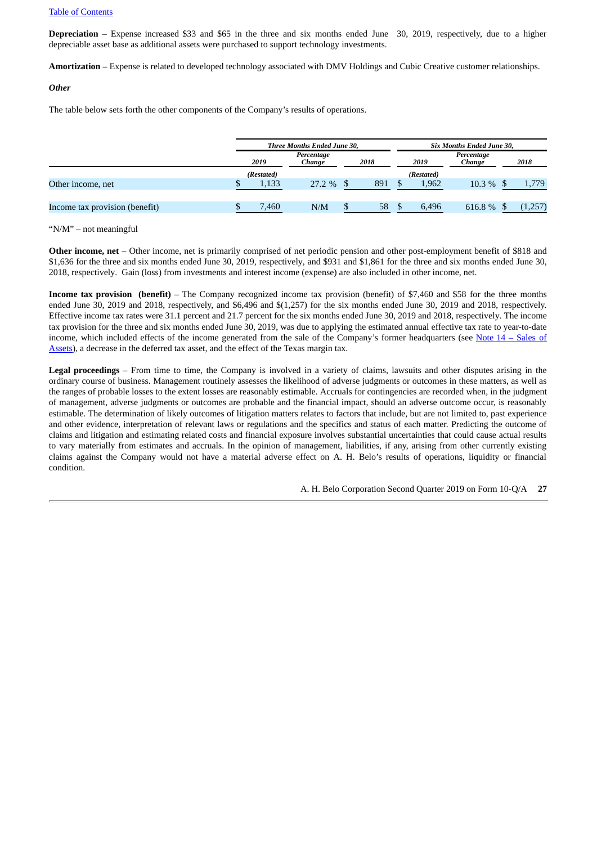**Depreciation** – Expense increased \$33 and \$65 in the three and six months ended June 30, 2019, respectively, due to a higher depreciable asset base as additional assets were purchased to support technology investments.

**Amortization** – Expense is related to developed technology associated with DMV Holdings and Cubic Creative customer relationships.

#### *Other*

The table below sets forth the other components of the Company's results of operations.

|                                |            | Three Months Ended June 30, |   |      | Six Months Ended June 30, |            |                      |         |  |
|--------------------------------|------------|-----------------------------|---|------|---------------------------|------------|----------------------|---------|--|
|                                | 2019       | Percentage<br>Change        |   | 2018 |                           | 2019       | Percentage<br>Change | 2018    |  |
|                                | (Restated) |                             |   |      |                           | (Restated) |                      |         |  |
| Other income, net              | 1,133      | 27.2%                       |   | 891  |                           | 1,962      | $10.3\%$ \$          | 1,779   |  |
| Income tax provision (benefit) | 7,460      | N/M                         | D | 58   |                           | 6,496      | 616.8%               | (1,257) |  |

"N/M" – not meaningful

**Other income, net** – Other income, net is primarily comprised of net periodic pension and other post-employment benefit of \$818 and \$1,636 for the three and six months ended June 30, 2019, respectively, and \$931 and \$1,861 for the three and six months ended June 30, 2018, respectively. Gain (loss) from investments and interest income (expense) are also included in other income, net.

**Income tax provision (benefit)** – The Company recognized income tax provision (benefit) of \$7,460 and \$58 for the three months ended June 30, 2019 and 2018, respectively, and \$6,496 and \$(1,257) for the six months ended June 30, 2019 and 2018, respectively. Effective income tax rates were 31.1 percent and 21.7 percent for the six months ended June 30, 2019 and 2018, respectively. The income tax provision for the three and six months ended June 30, 2019, was due to applying the estimated annual effective tax rate to year-to-date income, which included effects of the income generated from the sale of the Company's former [headquarters](#page-19-1) (see Note  $14$  – Sales of Assets), a decrease in the deferred tax asset, and the effect of the Texas margin tax.

**Legal proceedings** – From time to time, the Company is involved in a variety of claims, lawsuits and other disputes arising in the ordinary course of business. Management routinely assesses the likelihood of adverse judgments or outcomes in these matters, as well as the ranges of probable losses to the extent losses are reasonably estimable. Accruals for contingencies are recorded when, in the judgment of management, adverse judgments or outcomes are probable and the financial impact, should an adverse outcome occur, is reasonably estimable. The determination of likely outcomes of litigation matters relates to factors that include, but are not limited to, past experience and other evidence, interpretation of relevant laws or regulations and the specifics and status of each matter. Predicting the outcome of claims and litigation and estimating related costs and financial exposure involves substantial uncertainties that could cause actual results to vary materially from estimates and accruals. In the opinion of management, liabilities, if any, arising from other currently existing claims against the Company would not have a material adverse effect on A. H. Belo's results of operations, liquidity or financial condition.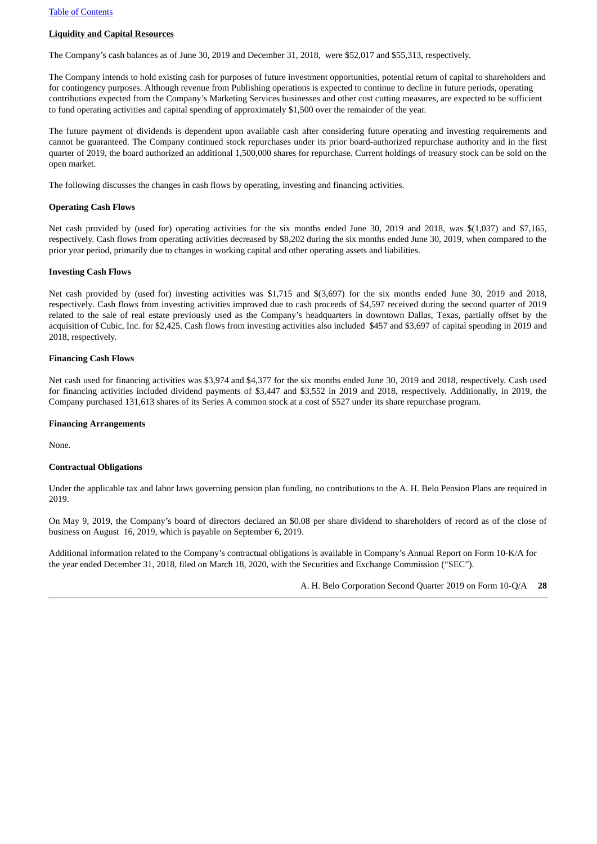#### **Liquidity and Capital Resources**

The Company's cash balances as of June 30, 2019 and December 31, 2018, were \$52,017 and \$55,313, respectively.

The Company intends to hold existing cash for purposes of future investment opportunities, potential return of capital to shareholders and for contingency purposes. Although revenue from Publishing operations is expected to continue to decline in future periods, operating contributions expected from the Company's Marketing Services businesses and other cost cutting measures, are expected to be sufficient to fund operating activities and capital spending of approximately \$1,500 over the remainder of the year.

The future payment of dividends is dependent upon available cash after considering future operating and investing requirements and cannot be guaranteed. The Company continued stock repurchases under its prior board-authorized repurchase authority and in the first quarter of 2019, the board authorized an additional 1,500,000 shares for repurchase. Current holdings of treasury stock can be sold on the open market.

The following discusses the changes in cash flows by operating, investing and financing activities.

#### **Operating Cash Flows**

Net cash provided by (used for) operating activities for the six months ended June 30, 2019 and 2018, was \$(1,037) and \$7,165, respectively. Cash flows from operating activities decreased by \$8,202 during the six months ended June 30, 2019, when compared to the prior year period, primarily due to changes in working capital and other operating assets and liabilities.

#### **Investing Cash Flows**

Net cash provided by (used for) investing activities was \$1,715 and \$(3,697) for the six months ended June 30, 2019 and 2018, respectively. Cash flows from investing activities improved due to cash proceeds of \$4,597 received during the second quarter of 2019 related to the sale of real estate previously used as the Company's headquarters in downtown Dallas, Texas, partially offset by the acquisition of Cubic, Inc. for \$2,425. Cash flows from investing activities also included \$457 and \$3,697 of capital spending in 2019 and 2018, respectively.

#### **Financing Cash Flows**

Net cash used for financing activities was \$3,974 and \$4,377 for the six months ended June 30, 2019 and 2018, respectively. Cash used for financing activities included dividend payments of \$3,447 and \$3,552 in 2019 and 2018, respectively. Additionally, in 2019, the Company purchased 131,613 shares of its Series A common stock at a cost of \$527 under its share repurchase program.

#### **Financing Arrangements**

None.

#### **Contractual Obligations**

Under the applicable tax and labor laws governing pension plan funding, no contributions to the A. H. Belo Pension Plans are required in 2019.

On May 9, 2019, the Company's board of directors declared an \$0.08 per share dividend to shareholders of record as of the close of business on August 16, 2019, which is payable on September 6, 2019.

Additional information related to the Company's contractual obligations is available in Company's Annual Report on Form 10‑K/A for the year ended December 31, 2018, filed on March 18, 2020, with the Securities and Exchange Commission ("SEC").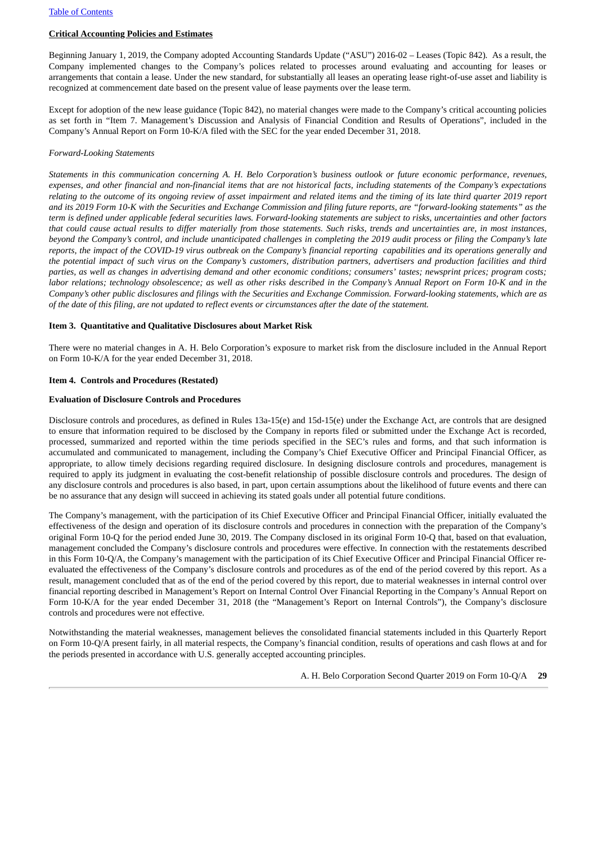#### **Critical Accounting Policies and Estimates**

Beginning January 1, 2019, the Company adopted Accounting Standards Update ("ASU") 2016-02 – Leases (Topic 842)*.* As a result, the Company implemented changes to the Company's polices related to processes around evaluating and accounting for leases or arrangements that contain a lease. Under the new standard, for substantially all leases an operating lease right-of-use asset and liability is recognized at commencement date based on the present value of lease payments over the lease term.

Except for adoption of the new lease guidance (Topic 842), no material changes were made to the Company's critical accounting policies as set forth in "Item 7. Management's Discussion and Analysis of Financial Condition and Results of Operations", included in the Company's Annual Report on Form 10-K/A filed with the SEC for the year ended December 31, 2018.

#### *Forward-Looking Statements*

Statements in this communication concerning A, H, Belo Corporation's business outlook or future economic performance, revenues, expenses, and other financial and non-financial items that are not historical facts, including statements of the Company's expectations relating to the outcome of its ongoing review of asset impairment and related items and the timing of its late third quarter 2019 report and its 2019 Form 10-K with the Securities and Exchange Commission and filing future reports, are "forward-looking statements" as the term is defined under applicable federal securities laws. Forward-looking statements are subject to risks, uncertainties and other factors that could cause actual results to differ materially from those statements. Such risks, trends and uncertainties are, in most instances, beyond the Company's control, and include unanticipated challenges in completing the 2019 audit process or filing the Company's late reports, the impact of the COVID-19 virus outbreak on the Company's financial reporting capabilities and its operations generally and the potential impact of such virus on the Company's customers, distribution partners, advertisers and production facilities and third parties, as well as changes in advertising demand and other economic conditions; consumers' tastes; newsprint prices; program costs; labor relations; technology obsolescence; as well as other risks described in the Company's Annual Report on Form 10-K and in the Company's other public disclosures and filings with the Securities and Exchange Commission. Forward-looking statements, which are as of the date of this filing, are not updated to reflect events or circumstances after the date of the statement.

#### <span id="page-28-1"></span>**Item 3. Quantitative and Qualitative Disclosures about Market Risk**

There were no material changes in A. H. Belo Corporation's exposure to market risk from the disclosure included in the Annual Report on Form 10-K/A for the year ended December 31, 2018.

#### <span id="page-28-2"></span><span id="page-28-0"></span>**Item 4. Controls and Procedures (Restated)**

#### **Evaluation of Disclosure Controls and Procedures**

Disclosure controls and procedures, as defined in Rules 13a-15(e) and 15d-15(e) under the Exchange Act, are controls that are designed to ensure that information required to be disclosed by the Company in reports filed or submitted under the Exchange Act is recorded, processed, summarized and reported within the time periods specified in the SEC's rules and forms, and that such information is accumulated and communicated to management, including the Company's Chief Executive Officer and Principal Financial Officer, as appropriate, to allow timely decisions regarding required disclosure. In designing disclosure controls and procedures, management is required to apply its judgment in evaluating the cost-benefit relationship of possible disclosure controls and procedures. The design of any disclosure controls and procedures is also based, in part, upon certain assumptions about the likelihood of future events and there can be no assurance that any design will succeed in achieving its stated goals under all potential future conditions.

The Company's management, with the participation of its Chief Executive Officer and Principal Financial Officer, initially evaluated the effectiveness of the design and operation of its disclosure controls and procedures in connection with the preparation of the Company's original Form 10-Q for the period ended June 30, 2019. The Company disclosed in its original Form 10-Q that, based on that evaluation, management concluded the Company's disclosure controls and procedures were effective. In connection with the restatements described in this Form 10-Q/A, the Company's management with the participation of its Chief Executive Officer and Principal Financial Officer reevaluated the effectiveness of the Company's disclosure controls and procedures as of the end of the period covered by this report. As a result, management concluded that as of the end of the period covered by this report, due to material weaknesses in internal control over financial reporting described in Management's Report on Internal Control Over Financial Reporting in the Company's Annual Report on Form 10-K/A for the year ended December 31, 2018 (the "Management's Report on Internal Controls"), the Company's disclosure controls and procedures were not effective.

Notwithstanding the material weaknesses, management believes the consolidated financial statements included in this Quarterly Report on Form 10-Q/A present fairly, in all material respects, the Company's financial condition, results of operations and cash flows at and for the periods presented in accordance with U.S. generally accepted accounting principles.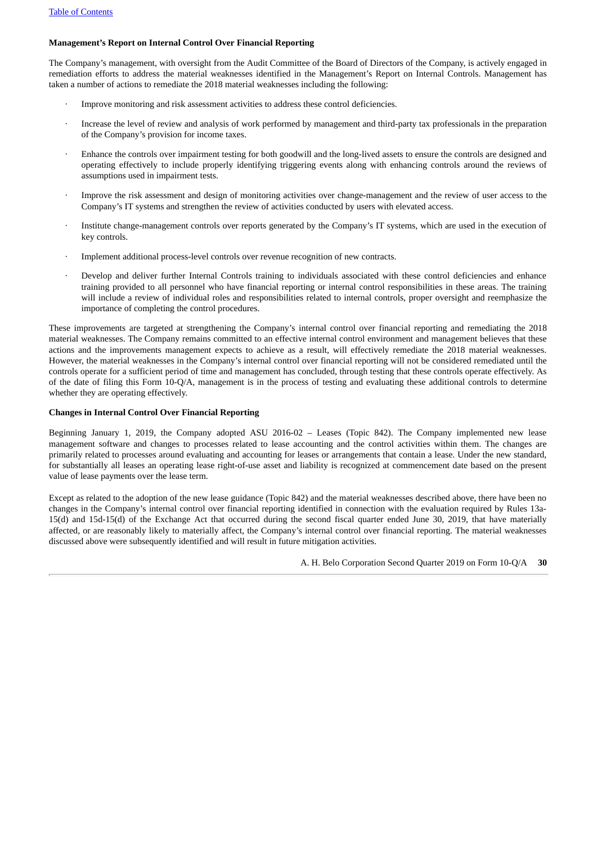#### **Management's Report on Internal Control Over Financial Reporting**

The Company's management, with oversight from the Audit Committee of the Board of Directors of the Company, is actively engaged in remediation efforts to address the material weaknesses identified in the Management's Report on Internal Controls. Management has taken a number of actions to remediate the 2018 material weaknesses including the following:

- Improve monitoring and risk assessment activities to address these control deficiencies.
- Increase the level of review and analysis of work performed by management and third-party tax professionals in the preparation of the Company's provision for income taxes.
- Enhance the controls over impairment testing for both goodwill and the long-lived assets to ensure the controls are designed and operating effectively to include properly identifying triggering events along with enhancing controls around the reviews of assumptions used in impairment tests.
- Improve the risk assessment and design of monitoring activities over change-management and the review of user access to the Company's IT systems and strengthen the review of activities conducted by users with elevated access.
- Institute change-management controls over reports generated by the Company's IT systems, which are used in the execution of key controls.
- · Implement additional process-level controls over revenue recognition of new contracts.
- Develop and deliver further Internal Controls training to individuals associated with these control deficiencies and enhance training provided to all personnel who have financial reporting or internal control responsibilities in these areas. The training will include a review of individual roles and responsibilities related to internal controls, proper oversight and reemphasize the importance of completing the control procedures.

These improvements are targeted at strengthening the Company's internal control over financial reporting and remediating the 2018 material weaknesses. The Company remains committed to an effective internal control environment and management believes that these actions and the improvements management expects to achieve as a result, will effectively remediate the 2018 material weaknesses. However, the material weaknesses in the Company's internal control over financial reporting will not be considered remediated until the controls operate for a sufficient period of time and management has concluded, through testing that these controls operate effectively. As of the date of filing this Form 10-Q/A, management is in the process of testing and evaluating these additional controls to determine whether they are operating effectively.

#### **Changes in Internal Control Over Financial Reporting**

Beginning January 1, 2019, the Company adopted ASU 2016-02 – Leases (Topic 842). The Company implemented new lease management software and changes to processes related to lease accounting and the control activities within them. The changes are primarily related to processes around evaluating and accounting for leases or arrangements that contain a lease. Under the new standard, for substantially all leases an operating lease right-of-use asset and liability is recognized at commencement date based on the present value of lease payments over the lease term.

Except as related to the adoption of the new lease guidance (Topic 842) and the material weaknesses described above, there have been no changes in the Company's internal control over financial reporting identified in connection with the evaluation required by Rules 13a-15(d) and 15d-15(d) of the Exchange Act that occurred during the second fiscal quarter ended June 30, 2019, that have materially affected, or are reasonably likely to materially affect, the Company's internal control over financial reporting. The material weaknesses discussed above were subsequently identified and will result in future mitigation activities.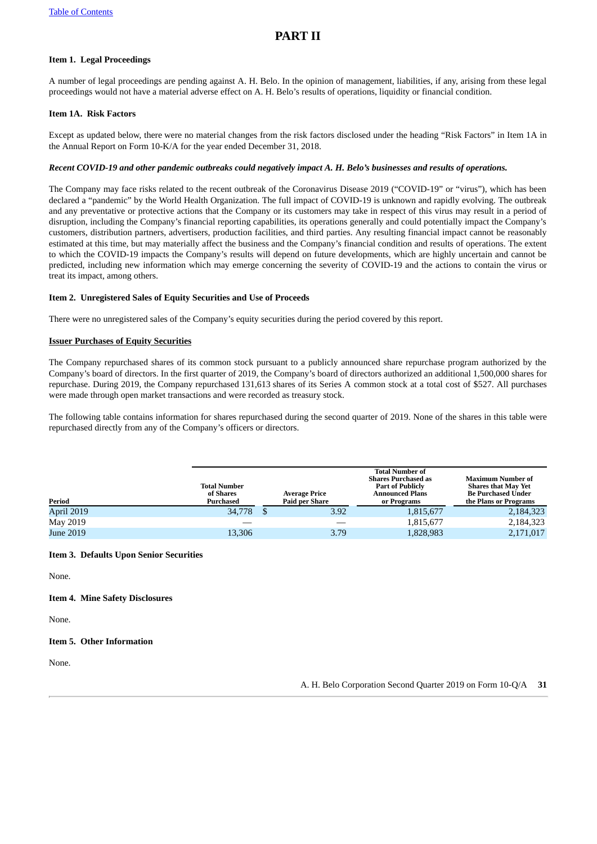# <span id="page-30-1"></span>**PART II**

### <span id="page-30-2"></span>**Item 1. Legal Proceedings**

A number of legal proceedings are pending against A. H. Belo. In the opinion of management, liabilities, if any, arising from these legal proceedings would not have a material adverse effect on A. H. Belo's results of operations, liquidity or financial condition.

#### <span id="page-30-3"></span><span id="page-30-0"></span>**Item 1A. Risk Factors**

Except as updated below, there were no material changes from the risk factors disclosed under the heading "Risk Factors" in Item 1A in the Annual Report on Form 10-K/A for the year ended December 31, 2018.

#### Recent COVID-19 and other pandemic outbreaks could negatively impact A. H. Belo's businesses and results of operations.

The Company may face risks related to the recent outbreak of the Coronavirus Disease 2019 ("COVID-19" or "virus"), which has been declared a "pandemic" by the World Health Organization. The full impact of COVID-19 is unknown and rapidly evolving. The outbreak and any preventative or protective actions that the Company or its customers may take in respect of this virus may result in a period of disruption, including the Company's financial reporting capabilities, its operations generally and could potentially impact the Company's customers, distribution partners, advertisers, production facilities, and third parties. Any resulting financial impact cannot be reasonably estimated at this time, but may materially affect the business and the Company's financial condition and results of operations. The extent to which the COVID-19 impacts the Company's results will depend on future developments, which are highly uncertain and cannot be predicted, including new information which may emerge concerning the severity of COVID-19 and the actions to contain the virus or treat its impact, among others.

#### <span id="page-30-4"></span>**Item 2. Unregistered Sales of Equity Securities and Use of Proceeds**

There were no unregistered sales of the Company's equity securities during the period covered by this report.

#### **Issuer Purchases of Equity Securities**

The Company repurchased shares of its common stock pursuant to a publicly announced share repurchase program authorized by the Company's board of directors. In the first quarter of 2019, the Company's board of directors authorized an additional 1,500,000 shares for repurchase. During 2019, the Company repurchased 131,613 shares of its Series A common stock at a total cost of \$527. All purchases were made through open market transactions and were recorded as treasury stock.

The following table contains information for shares repurchased during the second quarter of 2019. None of the shares in this table were repurchased directly from any of the Company's officers or directors.

| Period     | <b>Total Number</b><br>of Shares<br>Purchased | <b>Average Price</b><br><b>Paid per Share</b> | <b>Total Number of</b><br><b>Shares Purchased as</b><br><b>Part of Publicly</b><br><b>Announced Plans</b><br>or Programs | <b>Maximum Number of</b><br><b>Shares that May Yet</b><br><b>Be Purchased Under</b><br>the Plans or Programs |
|------------|-----------------------------------------------|-----------------------------------------------|--------------------------------------------------------------------------------------------------------------------------|--------------------------------------------------------------------------------------------------------------|
| April 2019 | 34,778                                        | 3.92                                          | 1,815,677                                                                                                                | 2,184,323                                                                                                    |
| May 2019   |                                               |                                               | 1,815,677                                                                                                                | 2,184,323                                                                                                    |
| June 2019  | 13,306                                        | 3.79                                          | 1,828,983                                                                                                                | 2,171,017                                                                                                    |

#### <span id="page-30-5"></span>**Item 3. Defaults Upon Senior Securities**

None.

<span id="page-30-6"></span>**Item 4. Mine Safety Disclosures**

None.

#### <span id="page-30-7"></span>**Item 5. Other Information**

None.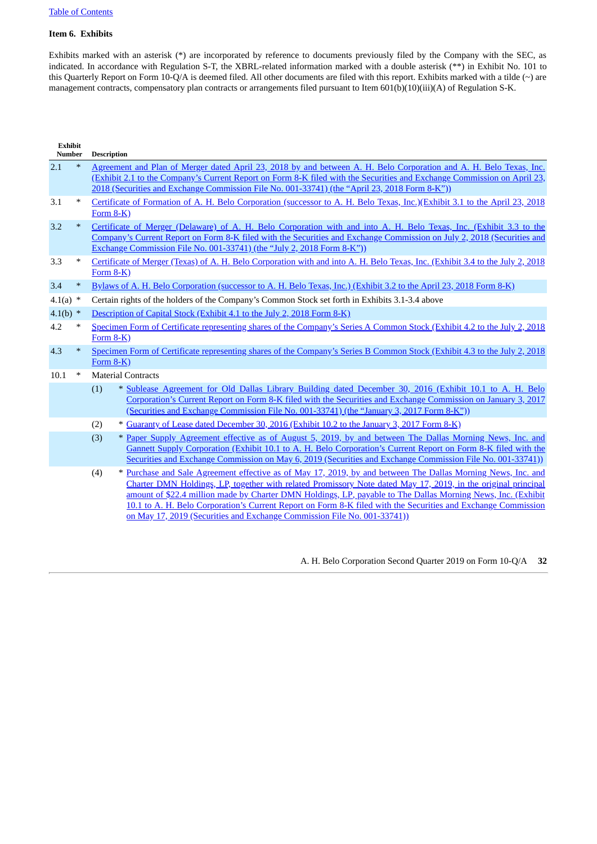#### <span id="page-31-0"></span>**Item 6. Exhibits**

Exhibits marked with an asterisk (\*) are incorporated by reference to documents previously filed by the Company with the SEC, as indicated. In accordance with Regulation S-T, the XBRL-related information marked with a double asterisk (\*\*) in Exhibit No. 101 to this Quarterly Report on Form 10-Q/A is deemed filed. All other documents are filed with this report. Exhibits marked with a tilde (~) are management contracts, compensatory plan contracts or arrangements filed pursuant to Item 601(b)(10)(iii)(A) of Regulation S-K.

| <b>Exhibit</b><br>Number |        | <b>Description</b>                                                                                                                                                                                                                                                                                                                                                                                                                                                                                                                                |
|--------------------------|--------|---------------------------------------------------------------------------------------------------------------------------------------------------------------------------------------------------------------------------------------------------------------------------------------------------------------------------------------------------------------------------------------------------------------------------------------------------------------------------------------------------------------------------------------------------|
| 2.1                      | $\ast$ | Agreement and Plan of Merger dated April 23, 2018 by and between A. H. Belo Corporation and A. H. Belo Texas, Inc.<br>(Exhibit 2.1 to the Company's Current Report on Form 8-K filed with the Securities and Exchange Commission on April 23,<br>2018 (Securities and Exchange Commission File No. 001-33741) (the "April 23, 2018 Form 8-K"))                                                                                                                                                                                                    |
| 3.1                      | $\ast$ | Certificate of Formation of A. H. Belo Corporation (successor to A. H. Belo Texas, Inc.)(Exhibit 3.1 to the April 23, 2018<br>Form $8-K$ )                                                                                                                                                                                                                                                                                                                                                                                                        |
| 3.2                      | $\ast$ | Certificate of Merger (Delaware) of A. H. Belo Corporation with and into A. H. Belo Texas, Inc. (Exhibit 3.3 to the<br>Company's Current Report on Form 8-K filed with the Securities and Exchange Commission on July 2, 2018 (Securities and<br>Exchange Commission File No. 001-33741) (the "July 2, 2018 Form 8-K"))                                                                                                                                                                                                                           |
| 3.3                      | $\ast$ | Certificate of Merger (Texas) of A. H. Belo Corporation with and into A. H. Belo Texas, Inc. (Exhibit 3.4 to the July 2, 2018<br>Form $8-K$ )                                                                                                                                                                                                                                                                                                                                                                                                     |
| 3.4                      | $\ast$ | Bylaws of A. H. Belo Corporation (successor to A. H. Belo Texas, Inc.) (Exhibit 3.2 to the April 23, 2018 Form 8-K)                                                                                                                                                                                                                                                                                                                                                                                                                               |
| 4.1(a) $*$               |        | Certain rights of the holders of the Company's Common Stock set forth in Exhibits 3.1-3.4 above                                                                                                                                                                                                                                                                                                                                                                                                                                                   |
| $4.1(b)$ *               |        | Description of Capital Stock (Exhibit 4.1 to the July 2, 2018 Form 8-K)                                                                                                                                                                                                                                                                                                                                                                                                                                                                           |
| 4.2                      | ∗      | Specimen Form of Certificate representing shares of the Company's Series A Common Stock (Exhibit 4.2 to the July 2, 2018<br>Form $8-K$ )                                                                                                                                                                                                                                                                                                                                                                                                          |
| 4.3                      | $\ast$ | Specimen Form of Certificate representing shares of the Company's Series B Common Stock (Exhibit 4.3 to the July 2, 2018<br>Form $8-K$ )                                                                                                                                                                                                                                                                                                                                                                                                          |
| 10.1                     | $\ast$ | <b>Material Contracts</b>                                                                                                                                                                                                                                                                                                                                                                                                                                                                                                                         |
|                          |        | * Sublease Agreement for Old Dallas Library Building dated December 30, 2016 (Exhibit 10.1 to A. H. Belo<br>(1)<br>Corporation's Current Report on Form 8-K filed with the Securities and Exchange Commission on January 3, 2017<br>(Securities and Exchange Commission File No. 001-33741) (the "January 3, 2017 Form 8-K"))                                                                                                                                                                                                                     |
|                          |        | * Guaranty of Lease dated December 30, 2016 (Exhibit 10.2 to the January 3, 2017 Form 8-K)<br>(2)                                                                                                                                                                                                                                                                                                                                                                                                                                                 |
|                          |        | (3)<br>* Paper Supply Agreement effective as of August 5, 2019, by and between The Dallas Morning News, Inc. and<br>Gannett Supply Corporation (Exhibit 10.1 to A. H. Belo Corporation's Current Report on Form 8-K filed with the<br>Securities and Exchange Commission on May 6, 2019 (Securities and Exchange Commission File No. 001-33741)).                                                                                                                                                                                                 |
|                          |        | * Purchase and Sale Agreement effective as of May 17, 2019, by and between The Dallas Morning News, Inc. and<br>(4)<br>Charter DMN Holdings, LP, together with related Promissory Note dated May 17, 2019, in the original principal<br>amount of \$22.4 million made by Charter DMN Holdings, LP, payable to The Dallas Morning News, Inc. (Exhibit<br>10.1 to A. H. Belo Corporation's Current Report on Form 8-K filed with the Securities and Exchange Commission<br>on May 17, 2019 (Securities and Exchange Commission File No. 001-33741)) |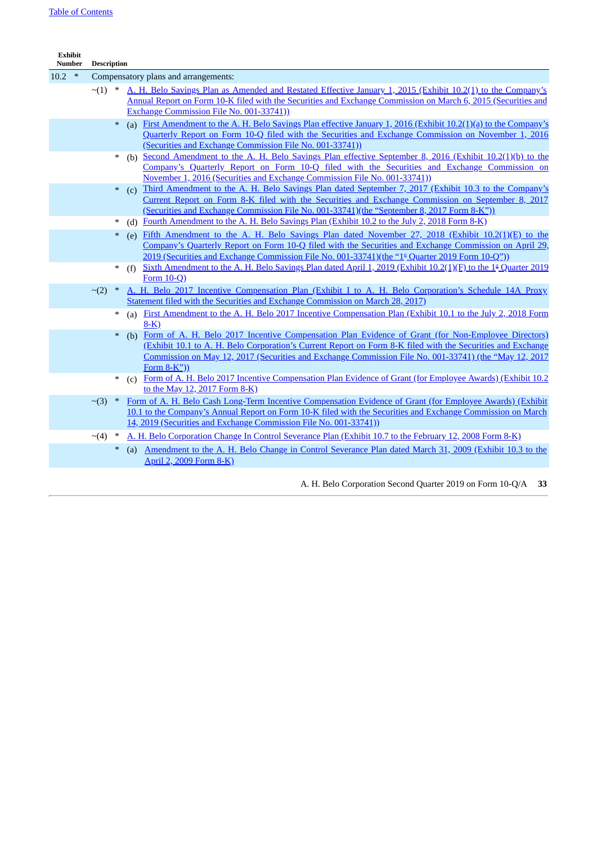| <b>Exhibit</b><br>Number | <b>Description</b>   |        |                                                                                                                                                                                                                                                                                                                                                     |
|--------------------------|----------------------|--------|-----------------------------------------------------------------------------------------------------------------------------------------------------------------------------------------------------------------------------------------------------------------------------------------------------------------------------------------------------|
| $10.2$ *                 |                      |        | Compensatory plans and arrangements:                                                                                                                                                                                                                                                                                                                |
|                          | $\sim$ (1)           |        | A. H. Belo Savings Plan as Amended and Restated Effective January 1, 2015 (Exhibit 10.2(1) to the Company's<br>Annual Report on Form 10-K filed with the Securities and Exchange Commission on March 6, 2015 (Securities and<br>Exchange Commission File No. 001-33741))                                                                            |
|                          | $\ast$               |        | First Amendment to the A. H. Belo Savings Plan effective January 1, 2016 (Exhibit 10.2(1)(a) to the Company's<br>(a)<br>Quarterly Report on Form 10-Q filed with the Securities and Exchange Commission on November 1, 2016<br>(Securities and Exchange Commission File No. 001-33741))                                                             |
|                          |                      |        | (b) Second Amendment to the A. H. Belo Savings Plan effective September 8, 2016 (Exhibit 10.2(1)(b) to the<br>Company's Quarterly Report on Form 10-Q filed with the Securities and Exchange Commission on<br>November 1, 2016 (Securities and Exchange Commission File No. 001-33741))                                                             |
|                          |                      | $\ast$ | Third Amendment to the A. H. Belo Savings Plan dated September 7, 2017 (Exhibit 10.3 to the Company's<br>(c)<br>Current Report on Form 8-K filed with the Securities and Exchange Commission on September 8, 2017<br><u>(Securities and Exchange Commission File No. 001-33741)(the "September 8, 2017 Form 8-K"))</u>                              |
|                          | $\ast$               |        | Fourth Amendment to the A. H. Belo Savings Plan (Exhibit 10.2 to the July 2, 2018 Form 8-K)<br>(d)                                                                                                                                                                                                                                                  |
|                          | $\ast$               |        | Fifth Amendment to the A. H. Belo Savings Plan dated November 27, 2018 (Exhibit 10.2(1)(E) to the<br>(e)<br>Company's Quarterly Report on Form 10-Q filed with the Securities and Exchange Commission on April 29,<br>2019 (Securities and Exchange Commission File No. 001-33741)(the "1 <sup>s</sup> Quarter 2019 Form 10-Q")).                   |
|                          | $\ast$               |        | Sixth Amendment to the A. H. Belo Savings Plan dated April 1, 2019 (Exhibit 10.2(1)(F) to the 1 <sup>s</sup> Quarter 2019<br>(f)<br>Form $10-Q$ )                                                                                                                                                                                                   |
|                          | $\sim$ (2)<br>$\ast$ |        | A. H. Belo 2017 Incentive Compensation Plan (Exhibit I to A. H. Belo Corporation's Schedule 14A Proxy<br>Statement filed with the Securities and Exchange Commission on March 28, 2017).                                                                                                                                                            |
|                          | ∗                    |        | (a) First Amendment to the A. H. Belo 2017 Incentive Compensation Plan (Exhibit 10.1 to the July 2, 2018 Form<br>$8-K$ )                                                                                                                                                                                                                            |
|                          | $\ast$               |        | Form of A. H. Belo 2017 Incentive Compensation Plan Evidence of Grant (for Non-Employee Directors)<br>(b)<br>(Exhibit 10.1 to A. H. Belo Corporation's Current Report on Form 8-K filed with the Securities and Exchange<br>Commission on May 12, 2017 (Securities and Exchange Commission File No. 001-33741) (the "May 12, 2017<br>Form $8-K$ ")) |
|                          | $\ast$               |        | (c) Form of A. H. Belo 2017 Incentive Compensation Plan Evidence of Grant (for Employee Awards) (Exhibit 10.2<br>to the May 12, 2017 Form 8-K)                                                                                                                                                                                                      |
|                          | $\sim$ (3)<br>$*$    |        | Form of A. H. Belo Cash Long-Term Incentive Compensation Evidence of Grant (for Employee Awards) (Exhibit<br>10.1 to the Company's Annual Report on Form 10-K filed with the Securities and Exchange Commission on March<br>14, 2019 (Securities and Exchange Commission File No. 001-33741))                                                       |
|                          | $\sim$ (4)           |        | A. H. Belo Corporation Change In Control Severance Plan (Exhibit 10.7 to the February 12, 2008 Form 8-K)                                                                                                                                                                                                                                            |
|                          |                      | $\ast$ | (a) Amendment to the A. H. Belo Change in Control Severance Plan dated March 31, 2009 (Exhibit 10.3 to the<br>April 2, 2009 Form 8-K)                                                                                                                                                                                                               |
|                          |                      |        | A. H. Belo Corporation Second Quarter 2019 on Form 10-Q/A<br>33                                                                                                                                                                                                                                                                                     |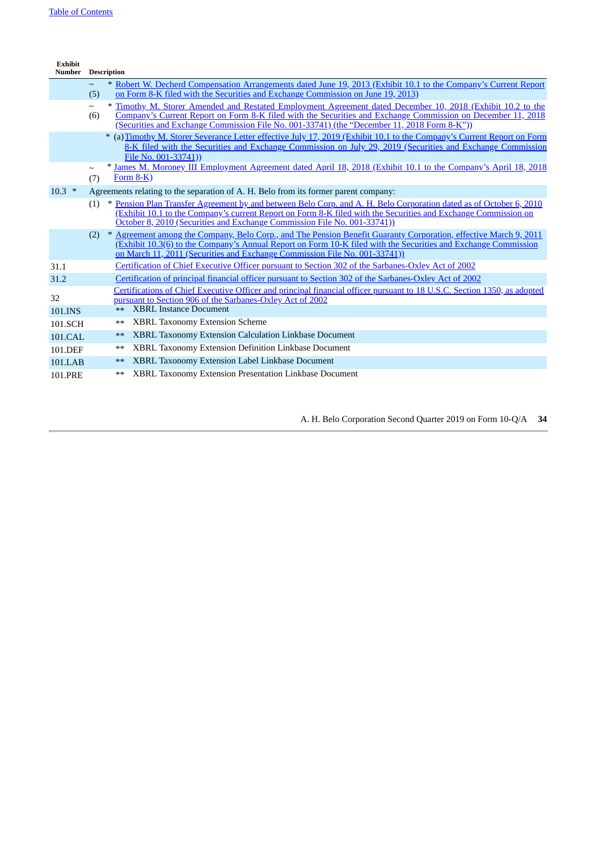| <b>Exhibit</b><br><b>Number</b> |               | <b>Description</b> |                                                                                                                                                                                                                                                                                                                          |
|---------------------------------|---------------|--------------------|--------------------------------------------------------------------------------------------------------------------------------------------------------------------------------------------------------------------------------------------------------------------------------------------------------------------------|
|                                 | $\sim$<br>(5) |                    | * Robert W. Decherd Compensation Arrangements dated June 19, 2013 (Exhibit 10.1 to the Company's Current Report<br>on Form 8-K filed with the Securities and Exchange Commission on June 19, 2013)                                                                                                                       |
|                                 | $\sim$<br>(6) |                    | * Timothy M. Storer Amended and Restated Employment Agreement dated December 10, 2018 (Exhibit 10.2 to the<br>Company's Current Report on Form 8-K filed with the Securities and Exchange Commission on December 11, 2018<br>(Securities and Exchange Commission File No. 001-33741) (the "December 11, 2018 Form 8-K")) |
|                                 |               |                    | * (a) Timothy M. Storer Severance Letter effective July 17, 2019 (Exhibit 10.1 to the Company's Current Report on Form<br>8-K filed with the Securities and Exchange Commission on July 29, 2019 (Securities and Exchange Commission<br>File No. 001-33741))                                                             |
|                                 | $\sim$<br>(7) |                    | * James M. Moroney III Employment Agreement dated April 18, 2018 (Exhibit 10.1 to the Company's April 18, 2018<br>Form 8-K)                                                                                                                                                                                              |
| $10.3$ *                        |               |                    | Agreements relating to the separation of A. H. Belo from its former parent company:                                                                                                                                                                                                                                      |
|                                 | (1)           |                    | * Pension Plan Transfer Agreement by and between Belo Corp. and A. H. Belo Corporation dated as of October 6, 2010<br>(Exhibit 10.1 to the Company's current Report on Form 8-K filed with the Securities and Exchange Commission on<br>October 8, 2010 (Securities and Exchange Commission File No. 001-33741))         |
|                                 |               |                    | (2) * Agreement among the Company, Belo Corp., and The Pension Benefit Guaranty Corporation, effective March 9, 2011<br>(Exhibit 10.3(6) to the Company's Annual Report on Form 10-K filed with the Securities and Exchange Commission<br>on March 11, 2011 (Securities and Exchange Commission File No. 001-33741))     |
| 31.1                            |               |                    | <b>Certification of Chief Executive Officer pursuant to Section 302 of the Sarbanes-Oxley Act of 2002</b>                                                                                                                                                                                                                |
| 31.2                            |               |                    | <u>Certification of principal financial officer pursuant to Section 302 of the Sarbanes-Oxley Act of 2002</u>                                                                                                                                                                                                            |
| 32                              |               |                    | Certifications of Chief Executive Officer and principal financial officer pursuant to 18 U.S.C. Section 1350, as adopted<br>pursuant to Section 906 of the Sarbanes-Oxley Act of 2002                                                                                                                                    |
| 101.INS                         |               | $***$              | <b>XBRL Instance Document</b>                                                                                                                                                                                                                                                                                            |
| 101.SCH                         |               | $***$              | <b>XBRL Taxonomy Extension Scheme</b>                                                                                                                                                                                                                                                                                    |
| 101.CAL                         |               | $***$              | <b>XBRL Taxonomy Extension Calculation Linkbase Document</b>                                                                                                                                                                                                                                                             |
| 101.DEF                         |               | $***$              | XBRL Taxonomy Extension Definition Linkbase Document                                                                                                                                                                                                                                                                     |
| 101.LAB                         |               | $***$              | XBRL Taxonomy Extension Label Linkbase Document                                                                                                                                                                                                                                                                          |
| <b>101.PRE</b>                  |               | $***$              | XBRL Taxonomy Extension Presentation Linkbase Document                                                                                                                                                                                                                                                                   |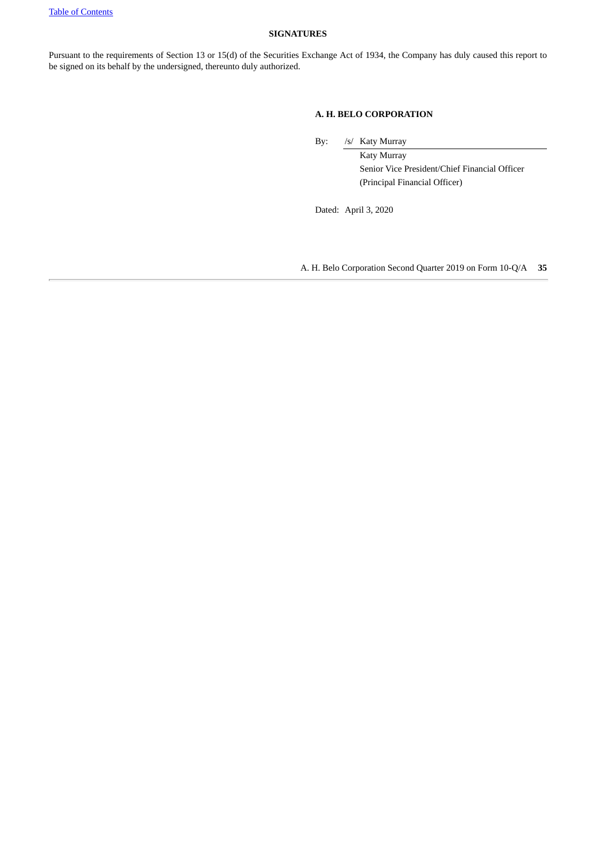#### <span id="page-34-0"></span>**SIGNATURES**

Pursuant to the requirements of Section 13 or 15(d) of the Securities Exchange Act of 1934, the Company has duly caused this report to be signed on its behalf by the undersigned, thereunto duly authorized.

#### **A. H. BELO CORPORATION**

By: /s/ Katy Murray

Katy Murray Senior Vice President/Chief Financial Officer (Principal Financial Officer)

Dated: April 3, 2020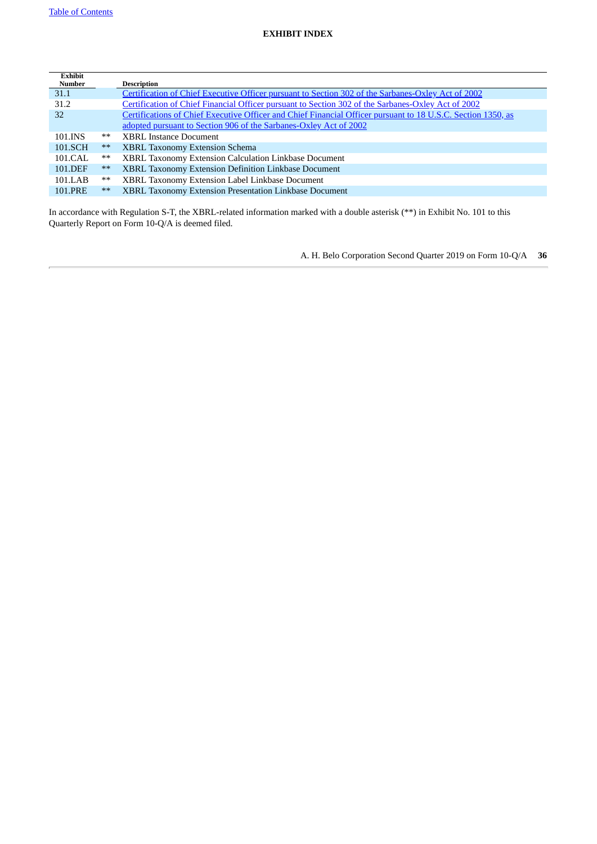<span id="page-35-0"></span>

| <b>Exhibit</b><br><b>Number</b> |       | <b>Description</b>                                                                                           |
|---------------------------------|-------|--------------------------------------------------------------------------------------------------------------|
| 31.1                            |       | Certification of Chief Executive Officer pursuant to Section 302 of the Sarbanes-Oxley Act of 2002           |
| 31.2                            |       | Certification of Chief Financial Officer pursuant to Section 302 of the Sarbanes-Oxley Act of 2002           |
| 32                              |       | Certifications of Chief Executive Officer and Chief Financial Officer pursuant to 18 U.S.C. Section 1350, as |
|                                 |       | adopted pursuant to Section 906 of the Sarbanes-Oxley Act of 2002                                            |
| 101.INS                         | **    | <b>XBRL Instance Document</b>                                                                                |
| 101.SCH                         | $***$ | <b>XBRL Taxonomy Extension Schema</b>                                                                        |
| 101.CAL                         | $***$ | XBRL Taxonomy Extension Calculation Linkbase Document                                                        |
| 101.DEF                         | $***$ | XBRL Taxonomy Extension Definition Linkbase Document                                                         |
| 101.LAB                         | $***$ | XBRL Taxonomy Extension Label Linkbase Document                                                              |
| 101.PRE                         | $***$ | XBRL Taxonomy Extension Presentation Linkbase Document                                                       |

In accordance with Regulation S-T, the XBRL-related information marked with a double asterisk (\*\*) in Exhibit No. 101 to this Quarterly Report on Form 10-Q/A is deemed filed.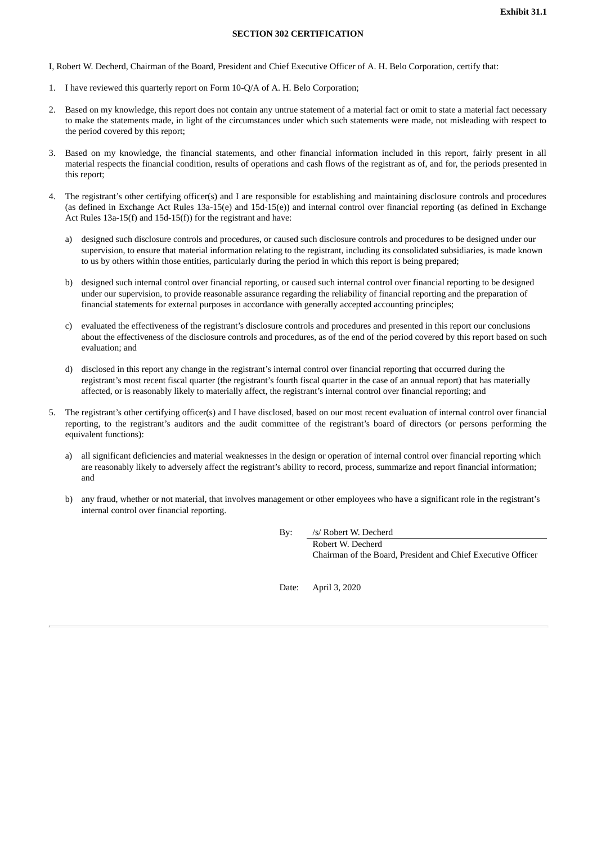#### **SECTION 302 CERTIFICATION**

<span id="page-36-0"></span>I, Robert W. Decherd, Chairman of the Board, President and Chief Executive Officer of A. H. Belo Corporation, certify that:

- 1. I have reviewed this quarterly report on Form 10-Q/A of A. H. Belo Corporation;
- 2. Based on my knowledge, this report does not contain any untrue statement of a material fact or omit to state a material fact necessary to make the statements made, in light of the circumstances under which such statements were made, not misleading with respect to the period covered by this report;
- 3. Based on my knowledge, the financial statements, and other financial information included in this report, fairly present in all material respects the financial condition, results of operations and cash flows of the registrant as of, and for, the periods presented in this report;
- 4. The registrant's other certifying officer(s) and I are responsible for establishing and maintaining disclosure controls and procedures (as defined in Exchange Act Rules 13a-15(e) and 15d-15(e)) and internal control over financial reporting (as defined in Exchange Act Rules 13a-15(f) and 15d-15(f)) for the registrant and have:
	- a) designed such disclosure controls and procedures, or caused such disclosure controls and procedures to be designed under our supervision, to ensure that material information relating to the registrant, including its consolidated subsidiaries, is made known to us by others within those entities, particularly during the period in which this report is being prepared;
	- b) designed such internal control over financial reporting, or caused such internal control over financial reporting to be designed under our supervision, to provide reasonable assurance regarding the reliability of financial reporting and the preparation of financial statements for external purposes in accordance with generally accepted accounting principles;
	- c) evaluated the effectiveness of the registrant's disclosure controls and procedures and presented in this report our conclusions about the effectiveness of the disclosure controls and procedures, as of the end of the period covered by this report based on such evaluation; and
	- d) disclosed in this report any change in the registrant's internal control over financial reporting that occurred during the registrant's most recent fiscal quarter (the registrant's fourth fiscal quarter in the case of an annual report) that has materially affected, or is reasonably likely to materially affect, the registrant's internal control over financial reporting; and
- 5. The registrant's other certifying officer(s) and I have disclosed, based on our most recent evaluation of internal control over financial reporting, to the registrant's auditors and the audit committee of the registrant's board of directors (or persons performing the equivalent functions):
	- a) all significant deficiencies and material weaknesses in the design or operation of internal control over financial reporting which are reasonably likely to adversely affect the registrant's ability to record, process, summarize and report financial information; and
	- b) any fraud, whether or not material, that involves management or other employees who have a significant role in the registrant's internal control over financial reporting.

By: /s/ Robert W. Decherd

Robert W. Decherd Chairman of the Board, President and Chief Executive Officer

Date: April 3, 2020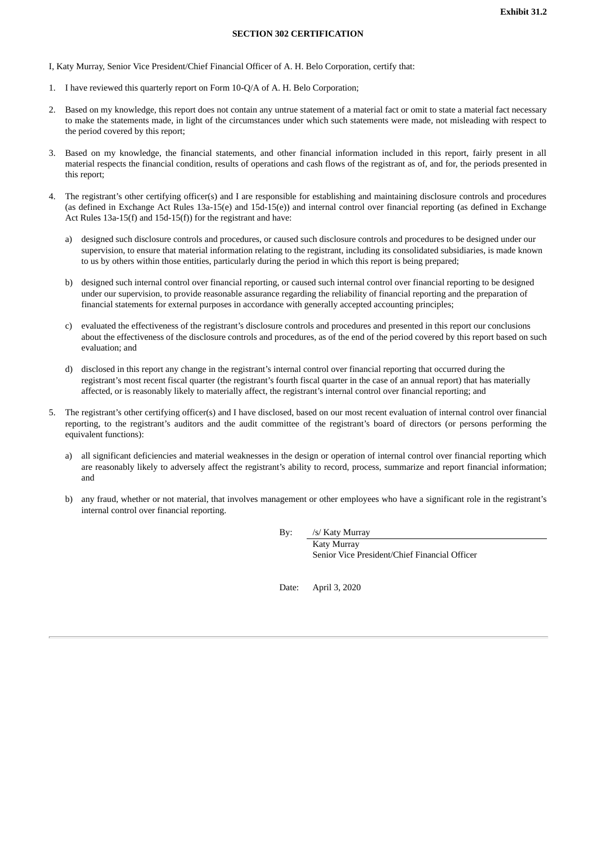#### **SECTION 302 CERTIFICATION**

<span id="page-37-0"></span>I, Katy Murray, Senior Vice President/Chief Financial Officer of A. H. Belo Corporation, certify that:

- 1. I have reviewed this quarterly report on Form 10-Q/A of A. H. Belo Corporation;
- 2. Based on my knowledge, this report does not contain any untrue statement of a material fact or omit to state a material fact necessary to make the statements made, in light of the circumstances under which such statements were made, not misleading with respect to the period covered by this report;
- 3. Based on my knowledge, the financial statements, and other financial information included in this report, fairly present in all material respects the financial condition, results of operations and cash flows of the registrant as of, and for, the periods presented in this report;
- 4. The registrant's other certifying officer(s) and I are responsible for establishing and maintaining disclosure controls and procedures (as defined in Exchange Act Rules 13a-15(e) and 15d-15(e)) and internal control over financial reporting (as defined in Exchange Act Rules 13a-15(f) and 15d-15(f)) for the registrant and have:
	- a) designed such disclosure controls and procedures, or caused such disclosure controls and procedures to be designed under our supervision, to ensure that material information relating to the registrant, including its consolidated subsidiaries, is made known to us by others within those entities, particularly during the period in which this report is being prepared;
	- b) designed such internal control over financial reporting, or caused such internal control over financial reporting to be designed under our supervision, to provide reasonable assurance regarding the reliability of financial reporting and the preparation of financial statements for external purposes in accordance with generally accepted accounting principles;
	- c) evaluated the effectiveness of the registrant's disclosure controls and procedures and presented in this report our conclusions about the effectiveness of the disclosure controls and procedures, as of the end of the period covered by this report based on such evaluation; and
	- d) disclosed in this report any change in the registrant's internal control over financial reporting that occurred during the registrant's most recent fiscal quarter (the registrant's fourth fiscal quarter in the case of an annual report) that has materially affected, or is reasonably likely to materially affect, the registrant's internal control over financial reporting; and
- 5. The registrant's other certifying officer(s) and I have disclosed, based on our most recent evaluation of internal control over financial reporting, to the registrant's auditors and the audit committee of the registrant's board of directors (or persons performing the equivalent functions):
	- a) all significant deficiencies and material weaknesses in the design or operation of internal control over financial reporting which are reasonably likely to adversely affect the registrant's ability to record, process, summarize and report financial information; and
	- b) any fraud, whether or not material, that involves management or other employees who have a significant role in the registrant's internal control over financial reporting.

By: /s/ Katy Murray

Katy Murray Senior Vice President/Chief Financial Officer

Date: April 3, 2020